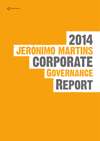

# REPORT CORPORATE 2014 Governance **JERONIMO MART**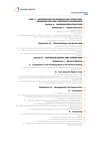

#### **PART I – INFORMATION ON SHAREHOLDER STRUCTURE, ORGANISATION AND CORPORATE GOVERNANCE**

#### **Section A – SHAREHOLDER STRUCTURE 6**

#### **Subsection I – Capital Structure 6**

- 1. Capital Structure 6
- 2. Restrictions on the Transfer of Shares 6
	- 3. Own Shares 6
- 4. Significant Agreements to which the Company is a Party and that Take Effect, are Altered, or 7 Cease in Case of Change in Control of the Company After a Takeover Bid 5. Defensive Measures 7
	-
	- 6. Shareholders Agreements known to the Company 7

#### **Subsection II – Shareholdings and Bonds Held 8**

- 7. Shareholders with Qualifying Holdings 8
- 8. Number of Shares and Bonds Held by Members of the Management and Supervisory Boards 9
- 9. Special Powers of the Board of Directors, especially in Relation to Deliberations on Capital 9 Increases
	- 10. Significant Business Relationships Between the Holders of Qualifying Holdings and the 9 Company

## **Section B – CORPORATE BODIES AND COMMITTEES 10**

#### **Subsection I – General Meeting 10**

#### **A. Composition of the Presiding Board of the General Meeting 10**

11. Details and Position of the Members of the Presiding Board of the General Meeting and Respective Term  $10$ 

#### **B. Exercising the Right to Vote 10**

- 12. Any Restrictions on the Right to Vote 10
- 13. Maximum Percentage of Voting Rights That May Be Exercised By a Single Shareholder or By 12 Shareholders That Are In Any Relationship As Set Out In No. 1 of Article 20 of the Portuguese Securities Code
- 14. Shareholders' Resolutions That, Imposed By The Articles Of Association, May Only Be Taken 12 With a Qualified Majority, In Addition To Those Legally Provided

## **Subsection II – Management and Supervision 13**

## **A. Composition 13**

- 15. Adopted Corporate Governance Model 13
- 16. Articles of Association Rules on the Procedural Requirements Governing the Appointment 13
	- and Replacement of Members of the Board of Directors and of the Supervisory Board
		- 17. Composition of the Board of Directors 13
	- 18. Distinction Between Executive and Non-Executive Directors, And Identification of 15
		- Independent Directors Among Non-Executive Directors
		- 19. Professional Qualifications of the Members of the Board of Directors 15
- 20. Customary and Significant Relationships of the Members of the Board with Shareholders with 18 Qualifying Holdings
	- 21. Organisational Charts, Delegation of Powers and Division of Responsibilities 19

#### **B. Functioning 28**

- 22. Availability and Place Where Rules on the Functioning of the Board of Directors May be 28 Viewed
	- 23. Number of Meetings Held and Attendance 28
	- 24. Performance Appraisal of Executive Directors 29
	- 25. Predefined Criteria For Assessing Executive Director's Performance 29
	- 26. Positions that the Members of the Board of Directors Hold in Other Companies, and 29Respective Availability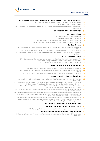#### **C. Committees within the Board of Directors and Chief Executive Officer 31**

- 27. Details of the Committees Created within the Board of Directors 31
	- 28. Details of the Chief Executive Officer 31
- 29. Description of the Powers of Each of The Committees Established and Summary of Activities Undertaken 31

#### **Subsection III – Supervision 34**

#### **A. Composition 34**

- 30. Details of the Supervisory Board 34
- 31. Composition of the Audit Committee 35
- 32. Details of the Independent Members of the Audit Committee 35
- 33. Professional Qualifications of the Members of the Audit Committee 35

#### **B. Functioning 36**

- 34. Availability and Place Where the Rules on the Functioning of the Audit Committee May be Viewed 36
	- 35. Number of Meetings Held, and Attendance of Each Member of The Audit Committee 36
- 36 Positions that the Members of the Audit Committee Hold in Other Companies, and Respective Availability 36

#### **C. Powers and Duties 36**

- 37. Description of the Procedures and Criteria Applicable to the Audit Committee for The Purposes of Hiring Additional Services From the External Auditor 36
	- 38. Other Duties of the Supervisory Body Audit Committee 37

#### **Subsection IV – Statutory Auditor 37**

- 39. Details of the Statutory Auditor and the Partner That Represents the Same 37
- 40. Number of Years that the Statutory Auditor Consecutively Carries Out Duties With the Company 37
	- 41. Description of Other Services that the Statutory Auditor Provides to the Company 38

#### **Subsection V – External Auditor 38**

- 42. Details of the External Auditor and the Partner That Represents the Same in Carrying out These Duties 38
- 43. Number of Years that the External Auditor and Respective Partner that Represents the Same in Carrying out These Duties Consecutively Carries Out Duties With the Company 38
	- 44. Rotation Policy and Schedule of the External Auditor and the Respective Partner That Represents Said Auditor in Carrying Out Such Duties 39
- 45. Details of the Board Responsible for Assessing the External Auditor and Regular Intervals to Carry Out the Assessment 39
- 46. Non-Audit Services carried out by the External Auditor for the Company and/or Companies in a Control Relationship, and Indication of Internal Procedures for Approving the Recruitment of Such Services and Reasons for Said Recruitment 39
	- 47. Details of Annual Remuneration Paid by the Company and/or Legal Entities in a Control or Group Relationship to the Auditor and Other Natural or Legal Persons Pertaining to the Same Network and Percentage Breakdown Relating to the Following Services 40

#### **Section C – INTERNAL ORGANISATION 41**

#### **Subsection I – Articles of Association 41**

48. Rules Applicable to Amendment of the Company's Articles of Association 41

#### **Subsection II – Reporting of Irregularities 41**

49. Reporting Means and Policy on the Reporting of Irregularities in the Company (Whistleblower Procedure) 41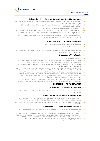

#### **Subsection III – Internal Control and Risk Management 42**

- 50. Individuals, Boards or Committees Responsible for the Internal Audit and/or Implementation of the Internal Control Systems 42
	- 51. Details of Hierarchical and/or Functional Dependency in Relation to Other Boards or Committees of the Company 42
		- 52. Other Functional Areas Responsible for Risk Control 42
- 53. Details of the Main Risks to Which the Company is Exposed in Pursuing Its Business Activity 44 54. Description of the Procedure for Identification, Assessment, Monitoring, Control and Risk 47
	- Management
	- 55. Core Details on the Internal Control and Risk Management Systems Implemented in the Company Regarding the Procedure for Financial Reporting 47

## **Subsection IV – Investor Assistance <sup>48</sup>**

- 56. Department Responsible for Investor Assistance 48
	- 57. Market Liaison Officer 50
- 58. Extent and Deadline for Replying to Requests for Information Received Throughout the Year or Pending from Preceding Years 50

#### **Subsection V – Website 50**

- 59. Relevant Addresses 50
- 60. Place Where Information on The Firm, Public Company Status, Headquarters, and Other Details Referred to in Article 171 of the Commercial Companies Code is Available 50
- 61. Place Where the Articles of Association and Regulations on the Functioning of the Boards and/or Committees are Available 50
- 62. Place Where Information is Available on the Names of the Corporate Boards' Members, the Market Liaison Officer, the Investor Assistance Office, Respective Functions and Contact Details 51
- 63. Place Where the Documents are Available and Relate to Financial Accounts Reporting, and the Half-Yearly Calendar on Company Events Published at the Beginning of Every Six Months 51
	- 64. Place Where the Notice Convening the General Meeting and All the Preparatory and Subsequent Information Related Thereto is Disclosed 51
- 65. Place Where the Historical Archive on the Resolutions Passed at the Company's General Meetings, Share Capital and Voting Results Relating to the Preceding Three Years are Available 51

## **SECTION D – REMUNERATION <sup>52</sup>**

#### **Subsection I – Power to Establish 52**

66. Details of the Powers for Establishing the Remuneration of Corporate Bodies and Directors of the Company 52

#### **Subsection II – Remuneration Committee 52**

- 67. Composition of the Remuneration Committee, Including Details of Persons Recruited to Provide Services to Said Committee, and Statement on the Independence of Each Member 52
- 68. Knowledge and Experience in Remuneration Policy Issues by Members of the Remuneration Committee 52

#### **Subsection III – Remuneration Structure 54**

- 69. Description of the Remuneration Policy of the Board of Directors and of the Supervisory Board 54
- 70. Information on How Remuneration is Structured so as To Enable the Aligning of Interests of the Members of the Board of Directors With the Company's Long-Term Interests, As Well As How It Is Based on the Performance Assessment and How It Discourages Excessive Risk Taking 56
	- 71. Existence of Variable Remuneration Component and Information on Any Impact of the Performance Appraisal on This Component 56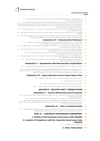#### **Corporate Governance Index**



72. Deferred Payment of the Remuneration's Variable Component, and Specification of Relevant Deferral Period 56

73. Criteria Whereon the Allocation of Variable Remuneration on Shares is Based and Also on Maintaining Company Shares That The Executive Directors Have Had Access To, On the Possible Share Contracts (hedging) or Risk Transfer Contracts, Corresponding Limit, and Its Relation to the Total Annual Remuneration Value 56

- 74. Criteria Whereon the Allocation of Variable Remuneration on Options is Based and details of the Deferral Period 57
- 75. Key Factors and Grounds for Any Annual Bonus Schemes and Any Additional Non-Financial Benefits 57
- 76. Key Characteristics of the Supplementary Pensions Schemes For Directors and Date When Said Schemes Were approved at the General Meeting, on an Individual Basis 57

#### **Subsection IV – Remuneration Disclosure 58**

- 77. Details on the Amount Relating to the Annual Remuneration Paid as a Whole and Individually to Members of the Company's Board of Directors 58
- 78. Amounts paid, For Any Reason, By Other Companies in a Control or Group Relationship, or are Subject to a Common Control 58
- 79. Remuneration Paid in the Form of Profit-Sharing and/or Bonus Payments and The Reasons For Said Bonuses or Profit Sharing Being Awarded  $59$ 
	- 80. Compensation Paid or Owed to Former Executive Directors Concerning Contract 59
		- Termination During the Financial Year 59
- 81. Details of the Annual Remuneration Paid, as a Whole and Individually, to the Members of the Company's Supervisory Board
	- 82. Details of the Remuneration of the Chairman of the General Meeting to the General Meeting in the Year of Reference 59

#### **Subsection V – Agreements with Remuneration Implications 59**

- 83. Envisaged Contractual Restraints for Compensation Payable for the Unfair Dismissal 59
- 84. Existence and Description of Agreements Between the Company and Members of the Board of Directors and Managers That Envisage Compensation in the Event of Resignation or Unfair Dismissal or Termination of Employment Following a Takeover Bid 59

## **Subsection VI – Share Allocation and/or Stock Option Plan 60**

- 85. Details of the Plan and the Number of Persons Included Therein 60
	- 86. Characteristics of the Plan 60
	- 87. Stock Option Plan for the Company Employees and Staff 60
- 88. Control Mechanisms for a Possible Employee-Shareholder System 60

## **SECTION E – RELATED PARTY TRANSACTIONS 61**

#### **Subsection I – Control Mechanisms and Procedures 61**

- 89. Mechanisms Implemented by the Company For the Purpose of Controlling Transactions With Related Parties 61
	- 90. Details of Transactions That Were Subject To Control in the Year of Reference 61
- 91. Description of Procedures and Criteria Applicable to the Supervisory Body When Same Provides Preliminary Assessment of the Business to be Carried Out Between the Company and Holders of Qualifying Holdings 61

#### **Subsection II – Data on Business Deals 62**

92. Details of the Place Where the Financial Statements Including Information on Business Dealings With Related Parties Are Available, in Accordance With IAS 24 62

#### **PART II – CORPORATE GOVERNANCE ASSESSMENT 63**

**1. Details of the Corporate Governance Code Adopted 63**

#### **2. Analysis of Compliance with the Corporate Governance Code Adopted 63**

2.1. Statement of Compliance 63

#### **3. Other Information 66**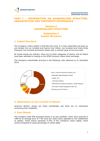

# **PART I – INFORMATION ON SHAREHOLDER STRUCTURE, ORGANISATION AND CORPORATE GOVERNANCE**

# **Section A SHAREHOLDER STRUCTURE**

# **Subsection I Capital Structure**

# **1. Capital Structure**

The Company's share capital is 629,293,220 euros. It is fully subscribed and paid up, and divided into six hundred and twenty-nine million, two hundred and ninety-three thousand, two hundred and twenty shares with a nominal value of one euro each.

All issued shares are ordinary, there are no other categories of shares, and all shares have been admitted to trading on the NYSE Euronext Lisbon stock exchange.

The Company's shareholder structure is the following, with reference to 31 December 2014:



# **2. Restrictions on the Transfer of Shares**

Jerónimo Martins' shares are freely transferable and there are no restrictions concerning their tradability.

## **3. Own Shares**

The Company holds 859 thousand shares in its own portfolio, which were acquired in 1999 at an average price of 7.06 euros per share (price adjusted by the restatement of capital). These shares represent 0.14% of the Company's share capital, which would correspond to equal percentage of voting rights.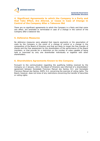# **4. Significant Agreements to which the Company is a Party and that Take Effect, Are Altered, or Cease in Case of Change in Control of the Company After a Takeover Bid**

There are no significant agreements to which the Company is a Party and that come into effect, are amended or terminated in case of a change in the control of the Company after a takeover bid.

# **5. Defensive Measures**

No defensive measures were adopted that require payments or the assumption of costs by the Company in the event of a change of control or a change in the composition of the Board of Directors and that are likely to impair the free transfer of shares and the free assessment by the shareholders of the performance of the Board members, or that provide for a restriction on the number of votes capable of being held or exercised by only one shareholder individually or together with other shareholders.

# **6. Shareholders Agreements Known to the Company**

Pursuant to the communication regarding the qualifying holding received by the Company on 2 January, 2012, the Board of Directors was informed of a shareholders' agreement between Sociedade Francisco Manuel dos Santos, B.V. and Sociedade Francisco Manuel dos Santos, SGPS, S.A. concerning the exercise of voting rights. The Board, however, does not know of any restrictions concerning the transfer of securities or voting rights.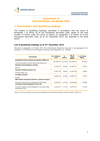# **Subsection II Shareholdings and Bonds Held**

# **7. Shareholders with Qualifying Holdings**

The holders of Qualifying Holdings, calculated in accordance with the terms of paragraph 1 of Article 20 of the Portuguese Securities Code, based on the total number of shares under the terms of section b), paragraph 3 of Article 16 of the Portuguese Securities Code, as at  $31<sup>st</sup>$  December 2014, are identified in the table below.

## **List of Qualifying Holdings as at 31st December 2014**

*(Pursuant to paragraph 4 of Article 448 of the Commercial Companies Code and in sub-paragraph b) of paragraph 1 of Article 8 of the Portuguese Securities Code Regulations no. 5/2008)*

| <b>Shareholder</b>                                                       | <b>No. of Shares</b><br>Held | $\frac{0}{0}$<br>Capital | No. of<br>Voting<br><b>Rights</b> | % of Voting<br><b>Rights</b> |
|--------------------------------------------------------------------------|------------------------------|--------------------------|-----------------------------------|------------------------------|
| Sociedade Francisco Manuel dos Santos, SGPS, S.A.                        |                              |                          |                                   |                              |
| Through Sociedade Francisco Manuel dos Santos, B.V.                      | 353,260,814                  | 56.136%                  | 353,260,814                       | 56.136%                      |
| Aberdeen Asset Managers Limited                                          |                              |                          |                                   |                              |
| Directly                                                                 | 31,482,477                   | 5.003%                   | 31,482,477                        | 5.003%                       |
| Heerema Holding Company Inc.                                             |                              |                          |                                   |                              |
| Through Asteck, S.A.                                                     | 31,464,750                   | 5.000%                   | 31,464,750                        | 5.000%                       |
| <b>Carmignac Gestion</b>                                                 |                              |                          |                                   |                              |
| Directly                                                                 | 16,859,313                   | 2.679%                   | 16,859,313                        | 2.679%                       |
| <b>BNP Paribas Investment Partners, Limited Company</b>                  |                              |                          |                                   |                              |
| Through Investment Funds Managed by BNP Paribas                          | 13,536,757                   | 2.151%                   | 12,604,860                        | 2.006%                       |
| <b>Coronation Asset Management (Pty) Ltd</b>                             |                              |                          |                                   |                              |
| Through Investment Funds Managed by Coronation Asset<br>Management (Pty) | 13,447,972                   | 2.137%                   | 13,447,972                        | 2.137%                       |

Source: Last communications made by the shareholders with qualifying holdings to Jerónimo Martins, SGPS, S.A.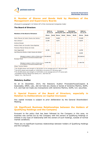# **8. Number of Shares and Bonds Held by Members of the Management and Supervisory Boards**

*(Pursuant to paragraph 5 of Article 447 of the Commercial Companies Code)*

## **The Board of Directors**

| <b>Members of the Board of Directors</b>                                                                                          | Held on<br>31.12.13 |              | <b>Increases</b><br>during the year |              | <b>Decreases</b><br>during the year |              | <b>Held on</b><br>31.12.14 |              |
|-----------------------------------------------------------------------------------------------------------------------------------|---------------------|--------------|-------------------------------------|--------------|-------------------------------------|--------------|----------------------------|--------------|
|                                                                                                                                   | <b>Shares</b>       | <b>Bonds</b> | <b>Shares</b>                       | <b>Bonds</b> | <b>Shares</b>                       | <b>Bonds</b> | <b>Shares</b>              | <b>Bonds</b> |
| Pedro Manuel de Castro Soares dos Santos 1                                                                                        | 235,805             |              | 39,000                              |              |                                     |              | 274,805                    |              |
| Alan Johnson <sup>2</sup>                                                                                                         | 21,400              | -            | 8,675                               |              |                                     |              | 30,075                     |              |
| Andrzej Szlezak                                                                                                                   |                     |              |                                     |              |                                     |              |                            |              |
| António Pedro de Carvalho Viana-Baptista                                                                                          |                     |              |                                     |              |                                     |              |                            |              |
| Francisco Manuel Seixas da Costa                                                                                                  |                     |              |                                     |              |                                     |              |                            |              |
| Hans Eggerstedt                                                                                                                   | 19,700              | ۰            |                                     |              |                                     |              | 19,700                     |              |
| José Manuel da Silveira e Castro Soares dos Santos 3                                                                              |                     | ۰            | 20,509                              |              |                                     |              | 20,509                     |              |
| Belonging to company in which is a Director (sec. d), 353, 260, 814<br>§ 2 of Article 447 Commercial Companies Code) <sup>4</sup> |                     |              |                                     |              |                                     |              | 353.260.814                |              |
| Nicolaas Pronk                                                                                                                    |                     |              |                                     | ۰            |                                     |              |                            |              |
| Belonging to company in which is a Director (sec. d),<br>§ 2 of Article 447 Commercial Companies Code) <sup>5</sup>               | 31.464.750          |              |                                     |              |                                     |              | 31.464.750                 |              |
| Sérgio Tavares Rebelo                                                                                                             |                     |              |                                     |              |                                     |              |                            |              |

**<sup>1</sup>** The 39,000 shares were bought on 30/10/2014, at an average price of 7.46 euros each.

**<sup>2</sup>** The 8,675 shares were bought on 13/03/2014, at a price of 11.50 euros each.

**<sup>3</sup>** The 20,509 shares were bought on 31/07/2014, at an average price of 9.74 euros each.

<sup>4</sup> Sociedade Francisco Manuel dos Santos, B.V.; See Point 20.

<sup>5</sup> Asteck, S.A.; See Point 20.

#### **Statutory Auditor**

As at 31 December, 2014, the Statutory Auditor PricewaterhouseCoopers & Associados, SROC, Lda., did not hold any shares or bonds of Jerónimo Martins, SGPS, S.A. and had not made any transactions with Jerónimo Martins, SGPS, S.A. securities.

## **9. Special Powers of the Board of Directors, especially in Relation to Deliberations on Capital Increases**

Any capital increase is subject to prior deliberation by the General Shareholders' Meeting.

# **10. Significant Business Relationships between the Holders of Qualifying Holdings and the Company**

Pursuant to the policy that has been followed by the Company in this area, no business was carried out by the Company with the owners of Qualifying Holdings or entities in any type of relationship with the owners of such holdings, outside of normal market conditions.

There are no significant business relationships between holders of Qualifying Holdings and the Company.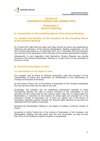

# **Section B CORPORATE BODIES AND COMMITTEES**

# **Subsection I General Meeting**

# **A. Composition of the Presiding Board of the General Meeting**

# **11. Details and Position of the members of the Presiding Board of the General Meeting**

On 10 April 2013 João Vieira de Castro and Tiago Ferreira de Lemos were appointed as Chairman and Secretary of the General Shareholders' Meeting respectively, for the term of office that expires on 31 December 2015. On 17 December 2013 the Company was informed of the resignation of the Chairman of the General Shareholder's Meeting.

Subsequently to said resignation, Abel Bernardino Teixeira Mesquita was elected Chairman of the General Shareholders' Meeting on 10 April 2014, for the remainder of the term in force.

# **B. Exercising the Right to Vote**

## **12. Restrictions on the Right to Vote**

The Company and its Board of Directors particularly value the principles of free transferability of shares and assessment by Shareholders of the performance of members of the Board of Directors.

As such Article Twenty Four of the Articles of Association of the Company establishes the rule that each share has the right to one vote.

Accordingly, the Company has not established mechanisms intended to cause mismatching between the right to receive dividends or the subscription of new securities and the voting right of each ordinary share, inter alia, no special rights for shareholders or restraints on the exercise of voting rights are provided for in the Company's Articles of Association, nor is there any special rule in the Articles of Association regarding systems whereby the financial rights attached to securities are separated from the holding of securities.

Attending the Shareholders' Meeting is not subject to holding a minimum number of shares.

According to Article Twenty-Six of the Articles of Association of the Company, the Shareholders' Meeting may take place upon the first convocation, as long as more than 50% of the Company's capital is present or represented.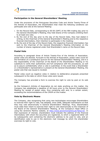## **Participation in the General Shareholders' Meeting**

Under the provisions of the Portuguese Securities Code and Article Twenty-Three of the Articles of Association, the Shareholders that meet the following conditions can participate and vote at the General Meeting:

- i. On the Record Date, corresponding to 00:00 (GMT) of the fifth trading day prior to the General Shareholder's Meeting, they held shares of the Company entitling them to at least one vote;
- ii. By the end of the day prior to the day of the Record Date, they had stated in writing, to the Chairman of the General Shareholder's Meeting and to the respective financial intermediary, their intention to participate in the meeting;
- iii. By the end of the day of the Record Date, the respective financial intermediary has sent to the Chairman of the General Shareholder's Meeting information on the number of shares registered under that Shareholder's name on the Record Date.

## **Postal Vote**

According to paragraph three of Article Twenty-Five of the Articles of Association, postal votes are allowed. Pursuant to the Articles of Association, postal votes count for the formation of a constitutive quorum for the General Shareholders' Meeting, and it is the responsibility of the Chairman of the Board of the Shareholders' Meeting or his substitute to verify their authenticity and full compliance with the procedures, as well as to assure confidentiality when a vote is submitted. In the event that a Shareholder or a Shareholder's representative is present at the General Shareholders' Meeting, the postal vote that was issued is revoked.

Postal votes count as negative votes in relation to deliberative proposals presented subsequent to the date on which those votes were issued.

The Company has provided a form to exercise the right to vote by post on its web page.

As the Company's Articles of Association do not state anything on this matter, the Company has established a deadline of 48 hours prior to the General Shareholders' Meeting for receipt of postal votes, thus complying with and, to a certain extent, exceeding the recommendations of the CMVM on this matter.

## **Vote by Electronic Means**

The Company, also recognising that using new technologies encourages Shareholders to exercise their right to vote, has adopted, since 2006, adequate mechanisms so that they may vote electronically in General Shareholders' Meetings. Thus, Shareholders must state their intent to exercise their right to vote electronically to the Chairman of the Board of the General Shareholders' Meeting, at the Company's Head Office or using the Jerónimo Martins website, at http://www.jeronimomartins.pt/?lang=en. In that expression of interest, shareholders must indicate the address of the financial intermediary with whom the securities are registered, to which a registered letter will be subsequently sent containing the electronic address to be used to vote, and an identification code to use in the electronic mail message by which the shareholder exercises its right to vote.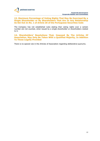**13. Maximum Percentage of Voting Rights That May Be Exercised By a Single Shareholder or By Shareholders That Are In Any Relationship As Set Out In No. 1 of Article 20 of the Portuguese Securities Code**

The Company has not established rules stating that voting rights over a certain number are not counted, when issued by a single shareholder or shareholders related to it.

**14. Shareholders' Resolutions That, Imposed By The Articles Of Association, May Only Be Taken With a Qualified Majority, In Addition To Those Legally Provided**

There is no special rule in the Articles of Association regarding deliberative quorums.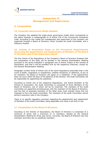

# **Subsection II Management and Supervision**

# **A. Composition**

## **15. Corporate Governance Model Adopted**

The Company has adopted the anglo-saxon governance model which corresponds to the option foreseen in subparagraph b) of Article 278 of the Commercial Companies Code. According to this model the management and supervision of the company are organized through a Board of Directors, which includes the Audit Committee, and a Statutory Auditor.

## **16. Articles of Association Rules on the Procedural Requirements Governing the Appointment and Replacement of Members of the Board of Directors and of the Supervisory Board**

The first Article of the Regulations of the Company's Board of Directors foresees that the composition of this body will be decided in the General Shareholders' Meeting pursuant to the terms indicated in paragraph one of Article Twelve of the Articles of Association, and that it will be presided over by the respective Chairman, chosen by the General Shareholders' Meeting.

Paragraph number three of Article nine of the same Regulations prescribes that in the event of death, resignation or impediment, whether temporary or definitive, of any of its members, the Board of Directors will agree on a substitute. If the appointment does not occur within 60 days of the absence of the Director, the Audit Committee will be responsible for appointing the substitute.

According to Article one of the respective Regulations, and Article Nineteen of the Articles of Association, the Audit Committee is composed of three Members of the Board of Directors, one of whom will be its Chairman. The members of the Audit Committee are appointed simultaneously with the members of the Board of Directors, and the lists of proposed members of the latter body must indicate those that are intended to form the Audit Committee. The members of the Audit Committee cannot perform executive roles in the Company.

There is no specific regulatory provision regarding the appointment and replacement of Members of the Audit Committee, being applicable only what is set forth in law.

## **17. Composition of the Board of Directors**

According to the Articles of Associations, the Board of Directors is comprised of a minimum of seven and a maximum of 11 members, elected by the General Shareholders' Meeting for three year terms. Currently, the Board of Directors has nine members and there are no substitute members: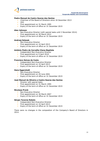

#### **Pedro Manuel de Castro Soares dos Santos**

- Chairman of the Board of Directors since 18 December 2013
- CEO
- **First appointment on 31 March 1995**
- **Expiry of the term of office on 31 December 2015**

#### **Alan Johnson**

- Non-Executive Director (with special tasks until 3 November 2014)
- **First appointment on 30 March 2012**
- **Expiry of the term of office on 31 December 2015**

#### **Andrzej Szlezak**

- Non-Executive Director
- First appointment on 10 April 2013
- **Expiry of the term of office on 31 December 2015**

#### **António Pedro de Carvalho Viana-Baptista**

- Independent Non-Executive Director
- **First appointment on 9 April 2010**
- **Expiry of the term of office on 31 December 2015**

#### **Francisco Seixas da Costa**

- Independent Non-Executive Director
- First appointment on 10 April 2013
- **Expiry of the term of office on 31 December 2015**

#### **Hans Eggerstedt**

- Non-Executive Director
- First appointment on 29 June 2001
- **Expiry of the term of office on 31 December 2015**

#### **José Manuel da Silveira e Castro Soares dos Santos**

- Director with special tasks
- **First appointment on 31 March 1995**
- **Expiry of the term of office on 31 December 2015**

#### **Nicolaas Pronk**

- Non-Executive Director
- First appointment on 30 March 2007
- **Expiry of the term of office on 31 December 2015**

#### **Sérgio Tavares Rebelo**

- Independent Non-Executive Director
- First appointment on 10 April 2013
- **Expiry of the term of office on 31 December 2015**

There were no changes in the composition of the Company's Board of Directors in 2014.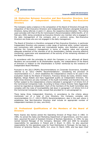## **18. Distinction Between Executive and Non-Executive Directors, And Identification of Independent Directors Among Non-Executive Directors**

The Company seeks a balance in the composition of the Board of Directors through the integration of Non-Executive Directors and Independent Directors alongside Executive Directors, being referred, in point 17, above, the respective discrimination. The criteria used coincides with that of the EU Commission's Recommendation 2005/162/EC, of 15 February 2005, being considered as Executive Director any member who is engaged in the daily management of the company and, *a contrario sensu*, Non-Executive Directors are those who are not engaged in the daily management.

The Board of Directors is therefore composed of Non-Executive Directors, in particular Independent Directors who possess a wide range of technical skills, contact networks and connections with national and international bodies, who therefore enrich and optimise the Company's management in terms of creating value and ensuring adequate protection of the interests of all its shareholders, thereby ensuring effective monitoring, supervision and assessement of the activity of the remaining members of the Board of Directors.

In accordance with the principles by which the Company is run, although all Board Members are accountable to all Shareholders equally, the independence of the Board of Directors in relation to the Shareholders is further reinforced by the existence of Independent Board Members.

Pursuant to the 2013 CMVM's Recommendations on Corporate Governance, hereafter referred to as "2013 CMVM's Recommendations", considering the provision of recommendation II.1.7, which establishes the independence criteria to be used in the evaluation made by the Board of Directors, Francisco Seixas da Costa, António Viana-Baptista, Sérgio Rebelo and Hans Eggerstedt qualify as Independent Directors. The latter three Directors are also members of the Audit Committee and therefore they are further subject to the independence criteria indicated in paragraph 5 of Article 414 of the Commercial Companies Code. According to these criteria Director Hans Eggerstedt cannot be regarded as independent. Each of the members of the Audit Committee also complies with the rules of incompatibility laid down in paragraph 1 of Article 414-A of the Commercial Companies Code, except that provided for in sub-paragraph b).

There being three Independent Directors, in accordance to the criteria above mentioned, out of a total of nine Directors, the Company complies with recommendation II.1.7. (2013 CMVM's Recommendations), also in the part where it establishes that Non-Executive Directors shall include an appropriate number of independent members (*in casu*, one third).

## **19. Professional Qualifications of the Members of the Board of Directors**

Pedro Soares dos Santos joined the Operating Division of Pingo Doce in 1983. In 1985, he joined the Sales and Marketing Department of Iglo/Unilever, and five years later, assumed the post of Assistant Director of Recheio Operations. In 1995, he was named General Manager of the Company. Between 1999 and 2000 he accepted responsibility for operations in Poland and in Brazil. In 2001, he also assumed responsibility for the operations area for Food Distribution in Portugal. He has been a Director of Jerónimo Martins, SGPS, S.A. since 31 March 1995, and has been Chief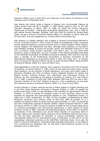

Executive Officer since 9 April 2010 and Chairman of the Board of Directors of the Company since 18 December 2013.

José Soares dos Santos holds a Degree in Biology from Universidade Clássica de Lisboa, joined Svea Lab AB in Sweden, in 1985, before going to work for the URL Colworth Laboratory in March 1987. In 1988, he joined the Human Resources Department of FimaVG – Distribuição de Produtos Alimentares, Lda., and in 1990 he was named Product Manager. Between 1992 and 1995 he worked for Brooke Bond Foods. He was a Director of Jerónimo Martins SGPS, S.A. between 31 March 1995 and 29 June 2001, and was reappointed on 15 April 2004 to the present day.

Alan Johnson is a British national, with a degree in Finance & Accounting obtained in the UK. He joined Unilever in 1976, where he made his professional career, occupying various financial positions in several countries such as United Kingdom, Brazil, Nigeria, France, Belgium, the Netherlands and Italy. Amongst other positions, he was Senior Vice President Strategy & Finance for Europe, Senior Vice President Finance & IT and CFO of Unilever Foods Division worldwide. Until March 2011, he was Chief Audit Executive, based in Rotterdam. He was a member of the Market Oversight Committee of the Chartered Association of Certified Accountants between 2007 and 2013 and has been a member of the Professional Accountants in Business Committee of the International Federation of Accountants based in New York since 2011. In January 2012, he joined the Jerónimo Martins Group as Chief Financial Officer, being Director of Jerónimo Martins, SGPS, S.A. since 30 March 2012.

Hans Eggerstedt is a German national, with a degree in Economics from the University of Hamburg. He joined Unilever in 1964, where he has spent his entire career. Among other positions, he was Director of Retail Operations, Ice Cream and Frozen Foods in Germany, President and CEO of Unilever Turkey, Regional Director for Central and Eastern Europe, Financial Director, and Information and Technology Director of Unilever. He was nominated to the Board of Directors of Unilever N.V. and Unilever PLC in 1985, a position he held until 1999. Between 2003 and 2012 he was a Non-Executive Director of the COLT Telekom Group S.A., from Luxembourg. He has been Non-Executive Director of Jerónimo Martins, SGPS, S.A. since 29 June 2001.

Andrzej Szlezak is a Polish national and has a Master degree in English philology and in law from Adam Mickiewicz University in Poznan, Poland; in 1981, he passed the judicial exam and in 1994, he was admitted to the Chamber of Legal Advisors (Poznan Chapter). In 1979 he started his academic career at said university where he was awarded his doctorate and post-doctorate degrees in Law ("Habilitated Doctor") in 1985 and in 1992, respectively. In 1994, he was awarded a professorship at Adam Mickiewicz University (Law School), which he held until 1996. At present, he is a professor at Warsaw School of Social Sciences and Humanities. In 1991, he joined the law firm of Soltysinski, Kawecki & Szlezak ("SK&S") where he became Partner in 1993 and Senior Partner in 1996. During his practice at SK&S he has provided legal advice in numerous privatization and restructuring transactions in many sectors of polish economy (mostly in M&A, corporate and greenfield projects). Since 1999, he has been an arbitrator of the Arbitration Court at the Polish Chamber of Commerce (KIG) in Warsaw, being at the moment Deputy Chairman of the Arbitration Board of this Court. He has also been appointed an arbitrator in several proceedings (national and international) before the ICC International Court of Arbitration in Paris and in *ad hoc* proceedings conducted according to the UNCITRAL Arbitration Rules. He is also the author of several publications, including foreign-language publications, in the fields of civil, commercial and arbitration law. He has been a Non-Executive Director of the Company since 10 April 2013.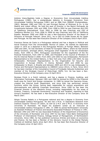

António Viana-Baptista holds a Degree in Economics from Universidade Católica Portuguesa (1980), has a postgraduate diploma in European Economics from Universidade Católica Portuguesa (1981) and an MBA from INSEAD (Fontainebleau, 1983). Between 1985 and 1991 he was Principal Partner of Mckinsey & Co. in the Madrid and Lisbon offices. He held the post of Director in the Banco Português de Investimento between 1991 and 1998. From 1998 to 2002 he was Chairman and CEO of Telefónica International. From 2002 to 2006 he was Chairman and CEO of Telefónica Móviles S.A. From 2006 to 2008 he was Chairman and CEO of Telefónica España. Between 2000 and 2008 he was a Non-Executive Director of the Board of Directors of Portugal Telecom. Since 2011, he is CEO of Crédit Suisse AG for Spain and Portugal. He has been Non-Executive Director of the Company since 9 April 2010.

Francisco Seixas da Costa is a Portuguese national and has a degree in Political and Social Sciences from the Universidade Técnica of Lisbon. He started his diplomatic career in 1975 as a diplomat in the Portuguese Ministry of Foreign Affairs. Between 1995 and 2001, he was Secretary of State for European Affairs, where he had several official functions, amongst others, Portuguese chief negotiator of the EU Amsterdam treaty, from 1995 to 1997, Portuguese coordinator for the negotiation of the EU financial framework, from 1997 to 1999, and President of the Council of Ministers of the EU Internal Market in 2000. From 2001 until 2002 he was Ambassador, Permanent Representative to the United Nations, in New York and, from 2002 until 2004, he was Ambassador, Permanent Representative to the Organization for Security and Cooperation in Europe (OSCE), in Vienna. Between 2004 and 2008 he was Ambassador to Brazil, in Brasília and between 2009 and 2013 he was Ambassador to France and Permanent Representative to UNESCO (since 2012), in Paris. Since 2013 he has been member of the Consultative Council of Fundação Calouste Gulbenkian and member of the Strategic Council of Mota-Engil, SGPS, S.A. He has been a Non-Executive Director of the Company since 10 April 2013.

Nicolaas Pronk is a Dutch national, and has a degree in Finance, Auditing, and Information Technology. Between 1981 and 1989 he worked for KPMG in the Financial Audit area for Dutch and foreign companies. In 1989 he joined the Heerema Group, created the Internal Audit Department, and since then has performed various functions within the Group, having been responsible for various acquisitions and disinvestments and defining Corporate Governance. Since 1999 he has been the Financial Director of the Heerema Group, including responsibility for the areas of Finance, Treasury, Corporate Governance, Insurance and Taxation, reporting to that Group's President. He has been a Non-Executive Director of the Company since 30 March 2007.

Sérgio Tavares Rebelo is a Portuguese national and has a degree in Economy from Universidade Católica Portuguesa. He also has a M.Sc. in Operations Research from Instituto Superior Técnico of Lisbon, as well as a M.A. and a Ph.D. in Economy from University of Rochester. He began his academic career as an instructor at Universidade Católica Portuguesa in 1981. In 1988 he joined Northwestern University as Assistant Professor of Finance and became Associated Professor of Finance in 1991. Between 1992 and 1997 he was Associated Professor of the Department of Economics of the University of Rochester and since 1997 he has been Tokai Bank Distinguished Professor of International Finance, Kellogg School of Management, of Northwestern University. Since 1982, he has published numerous Articles and books on economics and finance. He has been a Member of the Advisory Council to the Global Markets Institute at Goldman Sachs since April 2012. He has been Non-Executive Director of the Company since 10 April 2013.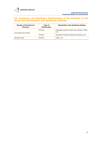## **20. Customary and Significant Relationships of the Members of the Board with Shareholders with Qualifying Holdings**

| Member of the Board of<br><b>Directors</b> | Type of<br>Relationship | <b>Shareholder with Qualifying Holding</b>           |
|--------------------------------------------|-------------------------|------------------------------------------------------|
| José Soares dos Santos                     | Director                | Sociedade Francisco Manuel dos Santos, SGPS,<br>S.A. |
|                                            | Director                | Sociedade Francisco Manuel dos Santos, B.V.          |
| Nicolaas Pronk                             | Director                | Astek, S.A.                                          |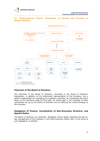

## **21. Organisational Charts, Delegation of Powers and Division of Responsibilities**



## **Chairman of the Board of Directors**

The Chairman of the Board of Directors, according to the Board of Directors' Regulations, in addition to the institutional representation of the Company, has a special responsibility for managing the respective meetings, for monitoring the action taken on the decisions made by this body, for taking part in the meetings of other committees set up by the Board of Directors and for defining the overall strategy of the Company.

#### **Delegation of Powers, Coordination of Non-Executive Directors, and Special Duties**

The Board of Directors, by resolution, delegated various duties regarding the day-today management of the Company in one Chief Executive Officer who, in the terms of such delegation, is entitled: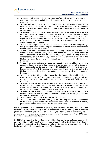

- a. To manage all corporate businesses and perform all operations relating to its corporate objectives, included in the scope of its current role, as holding company;
- b. To represent the company, in court or otherwise, to propose and answer to any lawsuits or engage in any arbitrations, for which purpose it may designate proxies, as well as compromise in, confess or withdraw from any such lawsuits or arbitrations;
- c. To decide on loans or other financial operations to be contracted from the financial market at home or abroad, as well as on the issuance of debt securities within the powers of the Board of Directors and to accept the supervision of the lending entities, all these up to the amount of 50,000,000 (fifty million) euros and in full compliance with that prescribed in the Articles of Association of the Company;
- d. To decide on the provision of technical and financial support, including through the granting of loans by the Company to companies whose stakes or shares the former holds in total or in part;
- e. To decide on the sale/transfer or lease (as lessor) any movable or immovable assets, including shares, units, quotas and bonds, and in general to decide on any divestments up to the amount of 50,000,000 (fifty million) euros or, independently of such threshold, whenever such divestment is set out in the Medium or Long Term Plans, as defined below, approved by the Board of Directors;
- f. To decide on the acquisition or lease (as lessee) of any movable or immovable assets, including shares, units, quotas and bonds, and in general to decide on any investments up to the amount of 50,000,000 (fifty million) euros or, independently of such threshold, whenever such investment is set out in the Medium and Long Term Plans, as defined below, approved by the Board of Directors;
- g. To appoint the individuals to be proposed to the General Shareholders' Meeting from the companies referred to in sub-paragraph d) above, to fill the roles of the respective corporate bodies, indicating those who will fulfil executive functions;
- h. To approve policies and rules transverse to the companies of the group, such as procedure manuals, regulations and service instructions, maxime, those concerning (i) human resources, (ii) operational control, (iii) food safety and quality control, and (iv) reporting and investments;
- i. To approve the expansion plans with respect to the activities of each of the business areas, as well as group companies forming part of the group but not included in the business areas;
- j. To approve the organic structure for the Group's companies;
- k. To decide on the instructions to be given by the Company to the management of its subsidiary companies with respect to those matters referred to herein, pursuant to and in compliance with the applicable laws.

For the purpose of the delegation of powers, it is considered as being foreseen in the Medium and Long Term Plans (which are considered to be the activity and investment plans and financial projections on a three-year term), the acquisitions, sales, investments or divestments whose amount does not exceed more than 10% each heading contained in those Plans.

In 2014, the Managing Committee remained in office as the consultative body which, as referred in point 29, has the primary goal of assisting the Chief Executive Officer in the duties delegated by the Board, in relation to the daily management of the businesses within the corporate purpose of the Company.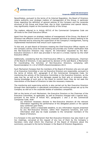

Nevertheless, pursuant to the terms of its Internal Regulation, the Board of Directors retains authority over strategic matters of management of the Group, in particular those regarding the definition of general policies of the Company and the corporate structure of the Group and those that, due to their importance and special nature, may significantly impact on the business activity of the Group.

The matters referred to in Article 407(4) of the Commercial Companies Code are off-limits to the Chief Executive Officer.

Apart from the powers on strategic matters of management of the Group, the Board of Directors has effective control on directing corporate activities by always seeking to be duly informed and by ensuring the supervision of the Company's management, having implemented mechanisms that ensure such supervision.

To this end, at each Board of Directors meeting the Chief Executive Officer reports on the Company activity since the last meeting and provides any further clarification that the Non-Executive Directors may require. All information requested by the Non-Executive Directors in 2014 was provided in full and in a timely manner by the Chief Executive Officer.

Additionally, considering that the Chief Executive Officer is, simultaneously, Chairman of the Board of Directors, it was approved by decision of the said Board, a Mechanism for Coordinating the Activities of Non-Executive Directors, complying with Recommendation II.1.10 of CMVM's Recommendations 2013.

Such Mechanism foresees that the members of the Board of Directors who are not part of an Executive Committee or are not Executive Directors are responsible, pursuant to the terms of Article 407, paragraph 8 of the Commercial Companies Code, for monitoring the activity of the Executive Committee or the Executive Directors, as the case may be, as well as for the damages caused by their acts or omissions when, having knowledge of such acts or the intent to commit them, they do not seek the intervention of the Board of Directors to take the necessary measures.

The monitoring and supervising activity is also carried out by Non Executive Directors through their participation in specialized committees and working groups set up by the Company as well as in the corporate bodies of subsidiary companies.

Still on the terms of such Mechanism, the Executive Directors or the Chairman of the Executive Committee, as applicable, as well as Directors charged with a special duty, pursuant to the terms of Article 407, paragraphs 1 and 2 of the Commercial Companies Code, shall:

(a) whenever necessary disclose to Non-Executive directors all the relevant information regarding the performance of the delegated powers or the special duty conferred upon them;

(b) answer, within a reasonable deadline, to any information request presented by any Non-Executive Director, within their respective functions, and such information shall also be made available to the remainder members of the Board of Directors.

It is foreseen in the said Mechanism that Non-Executive Directors may also meet in *ad hoc* meetings, convened at the request of any two of them by the Company´s Secretary (who shall inform the Chairman of the Board of Directors about the summons), pursuant to the terms foreseen in the Board of Directors Regulations.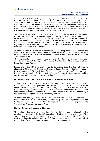

In order to allow for an independent and informed participation of Non-Executive Directors in the meetings of the Board of Directors or in the meetings of the specialized committees and working groups set up by the Company as well as in the corporate bodies of subsidiary companies they integrate, the Mechanism foresees that the Company's Secretary shall make available to them the definitive agenda of the meeting and respective preliminary documentation, pursuant to the terms and within the deadlines foreseen in the Board of Directors Regulation.

The Company's Secretary shall also ensure, according to the Mechanism implemented, the delivery to the Directors, who so request, of a copy of the minutes of the meetings of the Managing Committee as well as a copy of any other minutes of the meetings of corporate bodies or specialized committees within the Board of Directors. Moreover, the Company's Secretary shall, within its duties, provide Directors with all information regarding the resolutions of the Board of Directors or Executive Committee or the decisions of the Executive Directors.

In what concerns the allocation of special duties, regarding Director Alan Johnson, the special duty of financial management of Jerónimo Martins Group and for investor relations within the Board of Directors that had been allocated to him, have ceased on 3 November, 2014.

The responsibility for investor relations within the Board of Directors has been undertaken since that date by the Chairman of the Board and Chief Executive Officer, Pedro Soares dos Santos.

Pursuant to Article 407 (1) of the Commercial Companies Code, the Board of Directors allocated to Director José Manuel da Silveira e Castro Soares dos Santos the special task of monitoring of the activities of the joint venture Unilever Jerónimo Martins, of the activities of Jerónimo Martins – Distribuição de Produtos de Consumo, Lda. and the activities of Jerónimo Martins – Restauração e Serviços, S.A..

## **Organisational Structure and Division of Responsibilities**

Jerónimo Martins SGPS, S.A. is the Holding Company of the Group, and as such is responsible for the main guidelines for the various business areas, as well as for ensuring consistency between the established objectives and available resources. The Holding Company's services include a set of Functional Divisions which provide support for Corporate Centre and services to the Operating Areas of the Group's Companies, in the different geographical areas in which they operate.

In operational terms, Jerónimo Martins is organised into four business segments: i. Food Distribution, ii. Manufacturing, iii. Marketing Services, Representations and Restaurant Services, and iv. Agro-Business. The first area is organised into Geographical Areas and Operating Areas.

## **Holding Company Functional Divisions**

The Holding Company is responsible for: i. Defining and implementing the development strategy of the Group's portfolio; ii. Strategic planning and control of the various businesses and consistency with the global objectives; iii. Defining and controlling financial policies; and iv. Defining human resources policy, with direct responsibility for implementing the Management Development Policy.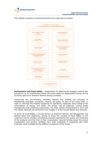

The Holding Company's Functional Divisions are organised as follows:



**Environment and Food Safety** – Responsible for defining the strategy, policies and procedures to be implemented within the areas under its responsibility across all the countries where the Jerónimo Martins Group is present.

Concerning the environment, Jerónimo Martins has defined the principle of establishing strategies, processes, projects and goals, as part of the value chain, in order to minimise the impacts caused by its operations, especially those linked to the consumption of energy and water, the proper use of materials, correct waste management and protecting biodiversity. The main actions implemented in 2014 and the results obtained can be found in the Chapter V of the Annual Report and Accounts.

In terms of Food Safety, a crucial activity at Jerónimo Martins, the Management has defined plans and objectives, aiming to bring the concept of Food Safety to the customer's home, thereby contributing towards maintaining the quality and freshness of the products until the time of their consumption. Several Articles about the correct manipulation and product handling have been published in magazines and other materials made available by the different companies of the Group.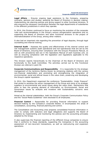

**Legal Affairs** – Ensures ongoing legal assistance to the Company, preparing contracts, opinions and studies, assisting the Board of Directors in decision making, implementing risk planning policies and giving support to other functional divisions. It also ensures the necessary coordination between the legal departments of subsidiaries in the different jurisdictions in which they operate.

In 2014, this Division continued to focus on monitoring the evolution of the corporate rules and recommendations in the Group's various reorganization operations and on supporting the Board of Directors and other functional divisions in the project of internationalisation of the Group, among other matters.

It also had an important role regarding the prevention of legal disputes, through legal counselling and internal training.

**Internal Audit** - Assesses the quality and effectiveness of the internal control and risk management systems (both operational and non-operational) that are set by the Board of Directors, ensuring their compliance with the Group's Procedures Manual, as well as with procedures laid out in the Operations Manual of each business unit, as well as ensuring compliance with the legislation and regulations applicable to the respective operations.

This Division reports hierarchically to the Chairman of the Board of Directors and functionally to the Audit Committee. The activities carried out by this Functional Division are referred in point 50.

**Corporate Communications and Responsibility** – It is responsible for the strategic management of the Jerónimo Martins brand, by enhancing relations with the various non-financial stakeholders and promoting and strengthening the integration of environmental, social and ethical issues in the value chain, preserving and developing the Group's capital reputation.

In 2014, this Department organized the conference "Sustainability: Under Pressure" that aimed to sensitise the senior management of the Group and some of its strategic suppliers to environmental and social issues along the value chain. Mechanisms that allow to face the growing demand of information on Environmental, Social and Governance issues by analysts and investors with Sustainability concerns were developed.

Aimed at the internal stakeholders, both the Group's Corporate Communication Policy and the "Social Media Guidelines" were disclosed to all employees.

**Financial Control –** Responsible for providing financial information to support decision-making by the Company's corporate Bodies. It encompasses the areas of consolidation, accounting, financial planning and control.

The Consolidation and Accounting area prepares consolidated financial information in order to comply with statutory and legal obligations and supports the Board of Directors by implementing and monitoring the policies and the accounting principles adopted by the Group.

It also supervises the financial reporting of the different Group companies to ensure that it conforms to these standards, supporting the Companies in the accounting assessment of non-recurrent transactions, as well as restructuring and expansion operations.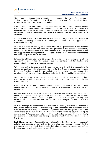

The area of Planning and Control coordinates and supports the process for creating the Jerónimo Martins Strategic Plans, which are used as a basis for strategic decisionmaking by the Corporate Governance bodies.

It has a control function, monitoring the performance of the different business units of the Group and investigating any deviations from the plans. It thus provides the Managing Committee of Jerónimo Martins with relevant information and proposals to guarantee corrective measures that allow the defined strategic objectives to be achieved.

It also makes a financial assessment of all investment projects that are relevant for the Group, providing support to the Managing Committee for its approval and subsequent follow-up.

In 2014 it focused its activity on the monitoring of the performance of the business units in particular in the evaluation and interpretation of the impact of deflationary macroeconomic environment in the performance of the Group's business areas. It has also supported the development of new projects of the Group, as well as strengthened the monitoring of the new businesses.

**International Expansion and Strategy –** Responsible for prospecting and analysing opportunities to develop the Group's business portfolio and for leading and participating in projects of a strategic nature.

With regard to the development of the business portfolio, it holds the responsibility to search for, analyse and evaluate opportunities for the Group to expand and increase its value, focusing its activity on markets and businesses that can support the development of new and relevant business units for the Jerónimo Martins portfolio.

With regard to strategic projects, it holds the responsibility to lead or support both corporate group-wide projects, and strategic projects that are specific to individual Group Companies.

During 2014, it led and supported several strategic projects across the Group's geographies, and continued to develop prospects for expansion in new markets and businesses.

**Fiscal Affairs** – Provides all of the Group's Companies with assistance in tax matters, ensuring compliance with legislation in force and the optimisation of the business units' management activities from a tax perspective. It also manages the Group's tax disputes and its relations with external consultants and lawyers, as well as with Tax Authorities.

In 2014, through the associations that represent the sector, it ensured the defense of the Group's interests, whether collaborating on the clarification and implementation of new legislation, or in the public debate of legislative projects. Also participated in the commissions of the *Forum dos Grandes Contribuintes* (Large Taxpayers Forum), to improve the Portuguese tax system and the relationship between the Tax Authority and taxpayers. The function also developed actions aimed at obtaining tax benefits for the Group.

**Risk Management** – Responsible for implementing the Group's risk management policies and procedures, as well as for providing the necessary support to the Governance bodies in identifying any risks that might compromise the strategy defined by the Group, as well as its business objectives.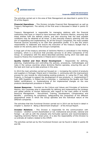

The activities carried out in the area of Risk Management are described in points 52 to 55 of this Report.

**Financial Operations** – This Division includes Financial Risk Management as well as Treasury Management. The activity of the first area is discussed in detail in points 52 to 55.

Treasury Management is responsible for managing relations with the financial institutions that have or intend to have business with Jerónimo Martins, ensuring that these entities fulfil the defined criteria, and also ensuring that the best possible conditions may be obtained at all times. It also executes treasury planning with the aim of negotiating and implementing, for all the Group's Companies, the most suitable financial sources according to its cash flow generation profile. It is also this area's responsibility to elaborate and ensure the execution of the treasury budget that is based on the activity plans of the Group's Companies.

A large part of the treasury activities of Jerónimo Martins is centralized in the Holding Company, which is a structure that provides services to all other Companies of the Group. In compliance with the above-described activities during 2014 new debt was issued to finance the investments in Poland and in Colombia.

**Quality Control and Own Brand Development** – Responsible for defining, planning, implementing and controlling the policies, procedures, methodologies and rules in the various countries where Jerónimo Martins operates, ensuring the use of the best and most up-to-date practices in this area.

In 2014 the main activities carried out focused on: i. increasing the control of products and suppliers in Portugal, Poland and in Colombia; ii. continuing with the improvement process for own brands by reformulating existing products; iii. using the IT tool, QMS Projects, in Portugal to support the development of new products; iv. implementing IT tool, QMS Suppliers, in Poland and in Colombia; v. maintaining the Quality and Food Safety certifications; vi. Systematizing of the implemented changes on the new products development procedure in Poland.

**Human Resources** – Founded on the Culture and Values and Principles of Jerónimo Martins, this Corporate area is responsible for defining and implementing the strategy and global policies of Human Resources with regard to the main pillars of Human Resource Management - Recruitment, Training, Development, Compensation and Benefits – promoting its compliance, safeguarding the uniqueness of the different geographical areas in which the Group operates and the individual nature of the different companies.

The activities that this Functional Division carried out in 2014 can be found in detail in Chapter V, Section 8 - Being a Benchmark Employer - of the Annual Report.

**Investor Relations** – This Division is responsible for the communication with investors – whether current shareholders or not, institutional and private, national and foreign - as well as with the analysts who formulate opinions and recommendations regarding Jerónimo Martins' share price. It is also the responsibility of this Division to co-ordinate all matters related to the CMVM.

The activities carried out by this Functional Division can be found in detail in points 56 and 58.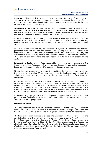

**Security** – This area defines and controls procedures in terms of protecting the security of the Group's people and assets, intervening whenever there are thefts and robberies, fraud and other illegal and/or violent activities perpetrated in the facilities or against employees of the Group.

**Information Security –** Responsible for implementing and maintaining an information security management system which ensures the confidentiality, integrity and availability of information on all Group Companies, as well as assuring recovery of systems in the event of any disruption to the operations.

Information Security Officers (ISO) in each country, who report functionally to this Corporate Directorate, ensure local compliance with applicable Information Security Policies and Standards and provide assistance to the respective business and support areas.

In 2014, Information Security implemented a system to increase the network protection level and assessed the impact of transposing the European Directive on Protection of Personal Data. The Governance model with Information Technology was developed to consolidate a proactive and preventive posture in Information Security. The work on the assessment and remediation of risks in system access profiles continues.

**Information Technology** – Area responsible for defining and implementing the Global Information Technology strategy for the Group, for promoting technologybased innovation and for aligning IT systems, policies and processes.

IT also has the responsibility to create the conditions for the businesses to achieve their goals, by providing IT services that enable to implement and support the solutions required by the processes of the organization, from infrastructure to applications.

Of the work carried out in 2014, the following should be highlighted: i) the definition of the IT Strategy to support the development of new Business Units; ii) the development of a Global Infrastructure Model to address the new context of the Group; iii) the deployment of replicable solutions for the new business models of the Group; iv) adaptation of the Group's systems to support new developments in the models of the Business Units and to achieve higher levels of productivity.

In addition, major progress towards convergence of applications, infrastructure and IT processes was achieved, with the adoption of common tools to deliver the IT service across the different geographies.

#### **Operational Areas**

The organisational structure of Jerónimo Martins is aimed mainly at ensuring specialisation in the Group's various businesses by creating Geographical Areas and Operational Areas, thus guaranteeing the required proximity to the different markets.

The Food Distribution business is divided into Geographical Areas - Portugal, Poland and Colombia - and then further divided within those countries into Operational Areas. In Portugal there are two Operational Areas: Pingo Doce (Supermarkets and Hypermarkets) and Recheio (Cash & Carry), which encompasses the Foodservice division through Caterplus. In Poland there are also two Operational Areas: Biedronka (food stores) and Hebe (drugstores) that includes Apteka Na Zdrowie (pharmacies). In Colombia one area: Ara (food stores).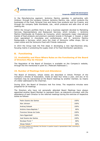

In the Manufacturing segment, Jerónimo Martins operates in partnership with Unilever, through the company Unilever Jerónimo Martins, Lda., which conducts the businesses of the Food, Personal Care and Home Care products and Ice Creams, and through the company Gallo Worldwide, Lda., which produces and sells olive oil and cooking oils.

Within the Group's portfolio there is also a business segment devoted to Marketing Services, Representations and Restaurant Services, which includes: i. Jerónimo Martins Distribuição de Produtos de Consumo, which represents major international brands of food products and premium cosmetic brands in Portugal; ii. Hussel, a retail chain specialised in chocolates and confectionary; and iii. Jerónimo Martins Restauração e Serviços, which owns the chain of Jeronymo coffee shops, Olá ice cream stores and the Jeronymo Food with Friends restaurant.

In 2014 the Group took the first steps in developing a new Agro-Business area, focusing mainly in protecting the supply chain of its Food Distribution operations.

## **B. Functioning**

## **22. Availability and Place Where Rules on the Functioning of the Board of Directors May be Viewed**

The Regulation of the Board of Directors is available on the Company's website, through the link mentioned in point 61 ("Relevant Addresses").

## **23. Number of Meetings Held and Attendance**

The Board of Directors, whose duties are described in Article Thirteen of the Company's Articles of Association, meets at least four times a year, and any of its members may be represented at the Board meetings by another member, by means of a letter addressed to the Chairman.

During 2014, the Board of Directors met five times. The respective minutes were prepared for all meetings.

The Directors who have not personally attended Board Meetings have always appointed another Board Member to represent them, as statutorily provided, with the attendance of each Director to the referred meetings during the exercise of respective duties as follows:

| Pedro Soares dos Santos   | 100% |
|---------------------------|------|
| Alan Johnson              | 100% |
| Andrzej Szlezak           | 100% |
| António Viana-Baptista *  | 80%  |
| Francisco Seixas da Costa | 100% |
| Hans Eggerstedt           | 100% |
| José Soares dos Santos    | 100% |
| Nicolaas Pronk *          | 80%  |
| Sérgio Rebelo *           | 80%  |

\* In every meeting not attended, the Director in question issued a representation letter, according to the Company's by-laws.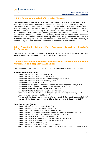## **24. Performance Appraisal of Executive Directors**

The assessment of performance of Executive Directors is made by the Remuneration Committee, elected by the General Shareholders' Meeting (see points 66 *et seq.*).

The Remuneration Committee is in charge of, in the scope of the Remuneration Policy set, assessing the individual and collective performance of Executive Directors, evaluate their influence and impact in Jerónimo Martins' businesses and assessing their alignment with the medium and long-term interests of the Company.

As referred below (see point 27) currently there are no committees composed exclusively by Directors. Notwithstanding such fact, the performance of Executive Directors who are part of mixed Committees (i.e. also composed of non-Directors) is evaluated by the Remuneration Committee, in the terms referred above.

## **25. Predefined Criteria For Assessing Executive Director's Performance**

The predefined criteria for assessing Executive Directors' performance arise from that established in the remuneration policy, described in point 69.

## **26. Positions that the Members of the Board of Directors Hold in Other Companies, and Respective Availability**

The members of the Board of Directors hold positions in other companies, namely:

#### **Pedro Soares dos Santos**

Director of Jerónimo Martins Serviços, S.A.\* Director of Jeronimo Martins Polska, S.A.\* Director of Jeronimo Martins Drogerie i Farmacia Sp. z o.o.\* Director of Jeronimo Martins Colombia, SAS\* Director of Recheio, SGPS, S.A.\* Director of Funchalgest – Sociedade Gestora de Participações Sociais, S.A.\* Director of JMR – Gestão de Empresas de Retalho, SGPS, S.A.\* Director of Jerónimo Martins – Agro-Alimentar, S.A.\* Director of Quinta da Parreira – Exploração Agrícola, S.A. Manager of Jerónimo Martins – Distribuição de Produtos de Consumo, Lda.\* Manager of Servicompra, SGPS, Lda.\* President of the Supervisory Board of Warta – Retail & Services Investments B.V.\* Member of the Supervisory Board of Bliska Sp z o.o. until 3 December 2014\*

#### **José Soares dos Santos**

Director of Jerónimo Martins Serviços, S.A.\* Director of Fima – Produtos Alimentares, S.A.\*\* Director of Victor Guedes Indústria e Comércio, S.A.\*\* Director of Olá – Produção de Gelados e Outros Produtos Alimentares, S.A. \*\* Director of Jerónimo Martins – Restauração e Serviços, S.A.\* Director of Sociedade Imobiliária da Matinha, S.A. Director of Sociedade Francisco Manuel dos Santos, SGPS, S.A. Director of Sociedade Francisco Manuel dos Santos, B.V. Director of SFMS – Imobiliária, S.A. Director of Fundação Francisco Manuel dos Santos Member of the Supervisory Board of Warta – Retail & Services Investments B.V.\*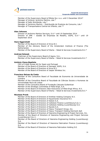

Member of the Supervisory Board of Bliska Sp z o.o. until 3 December 2014\* Manager of Unilever Jerónimo Martins, Lda.\* Manager of Gallo Worldwide, Lda.\*

Manager of Jerónimo Martins – Distribuição de Produtos de Consumo, Lda.\* Manager of Transportadora Central do Infante, Lda.\*\*

#### **Alan Johnson**

Director of Jerónimo Martins Serviços, S.A.\* until 19 September 2014 Director of JMR – Gestão de Empresas de Retalho, SGPS, S.A.\* until 19 September 2014

#### **Hans Eggerstedt**

Member of the Board of Directors of Arica B.V.

Member of the Advisory Board of the Amsterdam Institute of Finance (The Netherlands)

Member of the Supervisory Board of Warta – Retail & Services Investments B.V.\*

#### **Andrzej Szlezak**

Chairman of the Supervisory Board of Agora, S.A..

Member of the Supervisory Board of Warta – Retail & Services Investments B.V.\*

#### **António Viana-Baptista**

CEO of Crédit Suisse AG for Spain and Portugal Member of the Board of Directors of Semapa, SGPS, S.A. Member of the Board of Directors of Arica B.V. Member of the Board of Directors of Jasper Wireless Inc.

#### **Francisco Seixas da Costa**

Member of the Consultive Board of Faculdade de Economia da Universidade de Coimbra

Member of the Consultive Board of Faculdade de Ciências Sociais e Humanas da Universidade Nova de Lisboa

Member of the Consultive Board of Fundação Calouste Gulbenkian

Member of the Strategic Committee of Mota-Engil, S.A.

Member of the Board of Directors (Non-Executive) of Mota-Engil Africa, N.V.

Member of the Supervisory Board of Warta – Retail & Services Investments B.V.\*

#### **Nicolaas Pronk**

Member of the Board of Directors of Antillian Holding Company N.V.

Member of the Board of Directors of Aquamondo Insurance N.V.

Member of the Board of Directors of Asteck S.A.

Member of the Board of Directors of Celloteck Finance Luxembourg S.à.r.l.

Member of the Board of Directors of Celloteck Holding (Luxembourg) S.A.

Member of the Board of Directors of Epcote S.A.

Member of the Board of Directors of Heavy Transport Group, Inc.

Member of the Board of Directors of Heavy Transport Holding Denmark ApS

Member of the Board of Directors of Heerema Engineering & Project Services, Inc. Member of the Board of Directors of Heerema Engineering and Project Services

(Luxembourg) S.à.r.l.

Member of the Board of Directors of Heerema Engineering Holding (Luxembourg) S.A.

Member of the Board of Directors of Heerema Fabrication Finance (Luxembourg) S.A.

Member of the Board of Directors of Heerema Fabrication Holding S.E.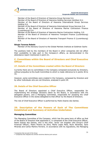

Member of the Board of Directors of Heerema Group Services S.A. Member of the Board of Directors of Heerema Holding Services (Antilles) N.V. Member of the Board of Directors of Heerema International Group Services Holding S.A.

Member of the Board of Directors of Heerema International Group Services S.A. Member of the Board of Directors of Heerema Marine Contractors Finance (Luxembourg) S.A.

Member of the Board of Directors of Heerema Marine Contractors Holding, S.E.

Member of the Board of Directors of Heerema Transport Finance (Luxembourg) S.à.r.l.

Member of the Board of Directors of Heerema Transport Finance II (Luxembourg) S.A.

#### **Sérgio Tavares Rebelo**

Member of the Advisory Council to the Global Markets Institute at Goldman Sachs

The positions held by the members of the Board in other companies did not affect their availability to take part in the Company's affairs, as demonstrated in the attendance report mentioned in point 23..

# **C. Committees within the Board of Directors and Chief Executive Officer**

## **27. Details of the Committees created within the Board of Directors**

Currently there are no committees in the Company composed exclusively by Directors, without prejudice to the Audit Committee to which is made reference to in points 30 to 33.

However, some committees were created in the Company, composed by Directors and by other individuals who are not Directors, analysed in point 29.

## **28. Details of the Chief Executive Officer**

The Board of Directors appointed a Chief Executive Officer, responsible for implementing the strategic decisions taken by the Board, in accordance with the delegated powers, and a Managing Committee, responsible for assisting the Chief Executive Officer in the duties delegated to that officer by the Board of Directors.

The role of Chief Executive Officer is performed by Pedro Soares dos Santos.

# **29. Description of the Powers of Each of The Committees Established and Summary of Activities Undertaken**

## **Managing Committee**

The Managing Committee of the Company, which has the same term of office as that of the Board of Directors that appointed it, is composed of the Chief Executive Officer, Pedro Soares dos Santos, who is the chair, Javier van Engelen (the Group's Chief Financial Officer), Pedro Pereira da Silva, Marta Lopes Maia, Nuno Abrantes, Sara Miranda and Carlos Martins Ferreira. In accordance with its regulations, the Managing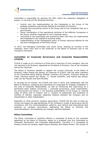

Committee is responsible for advising the CEO, within the respective delegation of powers, in carrying out the following functions:

- Control over the implementation by the Companies in the Group of the strategic guidelines and policies defined by the Board of Directors;
- Financial and accounting control of the Group and of the companies that are a part thereof;
- Senior coordination of the operational activities of the different Companies in the Group, whether integrated or not in business areas;
- Launching of new businesses and monitoring them until they are implemented and integrated in the respective business areas;
- Implementation of the management policy of human resources defined for the top-level management of the entire Group.

In 2014, the Managing Committee met seven times, drawing up minutes of the meetings, which were sent to the Chairman of the Board of Directors and to the Company's Secretary.

## **Committee on Corporate Governance and Corporate Responsibility (CCGCR)**

CCGCR is made up of a minimum of three and a maximum of nine members, who are not required to be Directors, appointed by the Board of Directors. One of the members will be the Chairman.

The Board of Directors decided to appoint the current Chairman of the Board of Directors, Pedro Soares dos Santos, as Chairman of CCGCR, with the other members of the Committee being Andrzej Szlezak, Francisco Sá Carneiro, Francisco Seixas da Costa, Henrique Soares dos Santos, J.J. Gomes Canotilho, José Soares dos Santos, Ludo van der Heyden and Sara Miranda.

In carrying out its mission, the CCGCR met once in 2014, and collaborates with the Board of Directors, assessing and submitting to it proposals for strategic orientation in the area of Corporate Responsibility, as well as monitoring and supervising on a permanent basis matters concerning: i. corporate governance, social responsibility, the environment and ethics; ii. the business sustainability of the Group; iii. internal codes of ethics and of conduct; and iv. systems of assessment and resolution of conflicts of interest, especially regarding relations between the Company and its shareholders or other stakeholders.

Especially on what concerns company governance, CCGCR has the duty to keep up, review and assess the appropriateness of the Company's model of governance and its consistency with the recommendations, patterns, and national and international best practices on company governance, addressing the Board of Directors the recommendations, and proposing any changes, deemed adequate.

## **Ethics Committee**

The Ethics Committee of Jerónimo Martins is composed of three to five members appointed by the Board of Directors, based on a proposal from the Committee on Corporate Governance and Corporate Responsibility. Currently it is composed by Susana Correia de Campos, Agata Wojcik-Ryszawa and Helena Morais. The mission of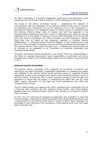

the Ethics Committee is to provide independent supervision of the disclosure of and compliance with the Group's Code of Conduct in all the Companies of the Group.

The duties of the Ethics Committee include: i. establishing the channels of communication with the addressees of the Jerónimo Martins Group Code of Conduct and gathering such information as may be addressed to it in this connection; ii. ensuring the existence of an adequate system of internal control of compliance with the Jerónimo Martins Group Code of Conduct and with the appraisal of the recommendations stemming from such control; iii. appraising such issues as may be submitted to it by the Board of Directors, by the Audit Committee or by the CCGCR within the scope of compliance with Code of Conduct and with analysing in abstract those that may be raised by any employee, customer or business partner (stakeholders); iv. proposing to the CCGCR the adoption of such measures as it may deem fit in this connection, including a review of internal procedures and alterations to the Jerónimo Martins Group Code of Conduct; and , v. drawing up an annual report on its activities to be presented to the Committee on Corporate Governance and Corporate Responsibility.

The Ethics Committee reports functionally to the CCGCR, which has responsibilities in the fields of corporate governance, social responsibility, environment and ethics, including those related to the internal codes of ethics and of conduct, having met once in 2014.

## **Internal Control Committee**

The Internal Control Committee (ICC), appointed by the Board of Directors and reporting to the Audit Committee, is specifically responsible for evaluating the quality and reliability of the internal control system and the process of preparing financial statements, as well as for evaluating the quality of the monitoring process in force in Jerónimo Martins' Companies, with a view to ensuring compliance with the laws and regulations to which they are subject. In performing this latter task, the ICC must obtain regular information on the legal and fiscal contingencies that affect the Companies of the Group.

The ICC meets monthly, as a general rule, and is composed since 3 November 2014 of a Chairman (Alan Johnson) and four members (David Duarte, José Gomes Miguel, Madalena Mena and Henrique Santos). None of the members is an Executive Director of the Company.

In 2014, the ICC continued its activities of supervision and evaluation of risks and critical processes, analysing the reports prepared by the Internal Audit Department. As a representative of the External Audit team is invited to attend these meetings, the Committee is also informed of the conclusions of the external audit work that takes place during the year.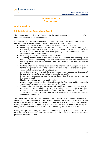

# **Subsection III Supervision**

# **A. Composition**

## **30. Details of the Supervisory Board**

The supervisory board of the Company is the Audit Committee, consequence of the anglo-saxon governance model adopted.

In addition to the responsibilities conferred by law, the Audit Committee, in performing its activities, is responsible in particular for the following:

- Monitoring the preparation and disclosure of financial information;
- Monitoring the effectiveness of internal control systems, internal auditing and risk management. For this purpose, they may work with the ICC, which shall report to them regularly on their work, pointing out situations that should be analysed by the Audit Committee;
- **Evaluating the external audit on a regular basis;**
- Approving activity plans in the area of risk management and following up on their execution, proceeding with the assessment of the recommendations resulting from the audit actions and the revisions of the procedures undertaken;
- Looking after the existence of an adequate internal risk management system for the companies of which the Jerónimo Martins is holder of shares or quotas, ensuring full compliance with its objectives;
- Approving internal audit activity programmes, which respective Department functionally reports to it, as well as of the external audit;
- Selecting, as proposed by the Managing Committee, the service provider for the external audit;
- Monitoring the legal accounts audit services;
- Assessing and monitoring the independence of the Statutory Auditor, especially when it performs additional services for the Company;
- Issuing prior opinion on transactions of significant importance between the Company and its shareholders with qualifying holdings – or entities with them related under the terms of Article 20.º, no. 1 of the Portuguese Securities Code –, establishing the procedures and criteria necessary to define the level of significant importance.

The Audit Committee, for the adequate performance of its duties, requests and appraises all the management information deemed necessary. In addition it has unrestricted access to the documentation produced by the auditors of the Company, having the possibility to request any information from them it deems necessary and being the first recipient of the final reports prepared by the external auditors.

During the previous year, the Audit Committee paid particular attention to the financial risk management and to the analysis of the reports and corrective measures proposed by Internal Audit.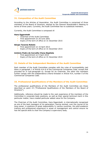

## **31. Composition of the Audit Committee**

According to the Articles of Association, the Audit Committee is comprised of three members of the Board of Directors, elected by the General Shareholder's Meeting to terms of three years. Currently, the Audit Committee has no substitute members.

Currently, the Audit Committee is composed of:

#### **Hans Eggerstedt**

- Chairman of the Audit Committee
- **First appointment on 29 June 2001**
- **Expiry of the term of office on 31 December 2015**

#### **Sérgio Tavares Rebelo**

- First appointment on 10 April 2013
- **Expiry of the term of office on 31 December 2015**

#### **António Pedro de Carvalho Viana-Baptista**

- First appointment on 9 April 2010
- **Expiry of the term of office on 31 December 2015**

#### **32. Details of the Independent Members of the Audit Committee**

Each member of the Audit Committee complies with the rules of incompatibility laid down in paragraph 1 of Article 414-A of the Commercial Companies Code, except that provided for in sub-paragraph b). Except for its Chairman, the other two members further comply with the independence criteria foreseen in Article 414, number 5 of the Commercial Companies Code.

#### **33. Professional Qualifications of the Members of the Audit Committee**

The professional qualifications of the Members of the Audit Committee are those described on point 19 ("Professional Qualifications of the Members of the Board of Directors").

Additionally, reference should be made to the vast experience of the members of the Committee in corporate body positions, as well as their special technical merit in this particular matter, have created particular added value for the Company.

The Chairman of the Audit Committee, Hans Eggerstedt, is internationally recognised as one of the best managers of his generation, having worked, over the course of his long career, in positions of great responsibility in various countries. His solid academic training and professional experience in areas of management and control ensure he has the special skills to chair the Company's supervisory body.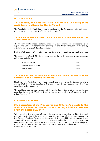# **B. Functioning**

## **34. Availability and Place Where the Rules On The Functioning of the Audit Committee Regulation May be Viewed**

The Regulation of the Audit Committee is available on the Company's website, through the link mentioned in point 61 ("Relevant Addresses").

## **35. Number of Meetings Held, and Attendance of Each Member of The Audit Committee**

The Audit Committe meets, at least, once every three months and is responsible for supervising Company management, carrying out the duties attributed by law and by Article Twenty of the Articles of Association.

During 2014, the Audit Committee met five times and all meetings were duly minuted.

The attendance of each Director at the meetings during the exercise of the respective duties was as follows:

| Hans Eggerstedt        | 100% |
|------------------------|------|
| António Viana-Baptista | 100% |
| Sérgio Rebelo          | 100% |

## **36. Positions that the Members of the Audit Committee Hold in Other Companies, and respective Availability**

Members of the Audit Committee have been always available for the Company's affairs during 2014, having participated in the same when it was necessary or when they considered to be necessary.

The positions held by the members of the Audit Committee in other companies are described in point 26 ("Positions that the Members of the Board of Directors Hold in Other Companies").

# **C. Powers and Duties**

# **37. Description of the Procedures and Criteria Applicable to the Audit Committee for The Purposes of Hiring Additional Services From the External Auditor**

With respect to the provision of non-audit services by the Auditor, in 2011 the Audit Committee established the rules concerning the provision of consultancy services by the External Auditor. These rules determine: i. the possibility of contracting those services, if the auditor's independence is assured; and ii. the obligation to obtain prior approval of the Committee, from the moment the global amount of fees related to these type of services in that year surpasses 10% of the global amount of fees concerning audit services.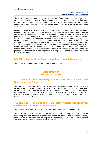

The Audit Committee considered that the provision of non-audit services up to the said amount of 10% is not capable of compromising auditor's independence. Furthermore, the Committee considered this solution as the most appropriate to the Group's geographical multi-location and to the specific needs of its subsidiaries set up in other jurisdictions.

Finally, it should also be noted that, taking into account the Audit Committee's role of evaluating and supervising the Statutory Auditor and External Auditor, when it carries out its annual assessment on the independence of these entities, as well as on the possibility of maintaining or the need to change the external audit service provider, the Audit Committee is compelled to check if there are reasons requiring the justified dismissal of either of these entities. Should they believe that there is just cause for this purpose, it is the Audit Committee's responsibility, in the case of the Statutory Auditor, to propose such dismissal to the General Shareholders' Meeting, within the terms provided for in Article 419 of the Commercial Companies Code and, consequently, as the role of the External Auditor is carried out by the same entity, to propose the termination of the respective auditing service contract to the Company's Board of Directors.

## **38. Other Duties of the Supervisory Body - Audit Committee**

The duties of the Audit Committee are described in point 30.

# **Subsection IV Statutory Auditor**

# **39. Details of the Statutory Auditor and the Partner That Represents the Same**

The Company's Statutory Auditor is PricewaterhouseCoopers & Associados, Sociedade de Revisores Oficiais de Contas, Lda., ROC (Chartered Accountant) No. 183, registered at the CMVM (Portuguese Securities Market Commission) under no. 9077, represented by Abdul Nasser Abdul Sattar, ROC no. 958, until January 9<sup>th</sup>, 2014 and, as from that date, represented by José Pereira Alves, ROC no. 711 or by António Joaquim Brochado Correia, ROC no. 1076.

## **40. Number of Years that the Statutory Auditor Consecutively Carries Out Duties With the Company**

The Company's Statutory Auditor carries out duties with the Company for 26 years.

The Statutory Auditor was nominated for the first time during 2005, although for calculating the said number of years, the period in which other statutory auditors, members of the PricewaterhouseCoopers & Associados, SROC, Lda. network carried out that role at Jerónimo Martins is taken into account.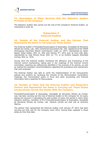

## **41. Description of Other Services that the Statutory Auditor Provides to the Company**

The Statutory Auditor also carries out the role of the Company's External Auditor, as mentioned in point 42.

# **Subsection V External Auditor**

## **42. Details of the External Auditor and the Partner That Represents the Same in Carrying out These Duties**

The External Auditor is PricewaterhouseCoopers & Associados, Sociedade de Revisores Oficiais de Contas, Lda., ROC (Chartered Accountant) No. 183, registered at the CMVM (Portuguese Securities Market Commission) under no. 9077, represented by Abdul Nasser Abdul Sattar, ROC no. 958 until January 9<sup>th</sup>, 2014 and, as from that date, represented by José Pereira Alves, ROC no. 711 or by António Joaquim Brochado Correia, ROC no. 1076.

During 2014 the External Auditor monitored the efficiency and functioning of the internal control mechanisms, taking part in the meetings of the Internal Control Committee, reporting any deficiencies identified in the exercise of its activity, as well as making the necessary recommendations regarding the procedures and mechanisms that were analysed.

The External Auditor was able to verify the implementation of the remuneration policies and systems by reviewing the minutes of the Remuneration Committee's meetings, the remuneration policy in force and other accounting and financial information that is essential for that purpose.

# **43. Number of Years that the External Auditor and Respective Partner that Represents the Same in Carrying out These Duties Consecutively Carries Out Duties With the Company**

PricewaterhouseCoopers & Associados, Sociedade de Revisores Oficiais de Contas, Lda. has been carrying out the role of External Auditor to the Company for 26 vears. taking into account in calculating the said number of years, the period in which other statutory auditors, members of the PricewaterhouseCoopers & Associados, Sociedade de Revisores Oficiais de Contas, Lda. network carried out that role at Jerónimo Martins.

The partner that represented the External Auditor until January  $9<sup>th</sup>$  2014 had been carrying out that role for the Company since 2010, having been replaced in those duties as from that date.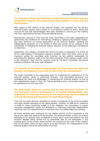# **44. Rotation Policy and Schedule of the External Auditor and the Respective Partner That Represents Said Auditor in Carrying Out Such Duties**

With regard to the rotation of the External Auditor, the Company has not set any external auditor rotation policy based on a pre-defined number of years, taking into account the fact that disadvantages have been identified in carrying out the auditing role when approaching the end of the pre-defined period.

Alternatively, bearing in mind that the Audit Committee is the body responsible for determining the conditions for maintaining, rotating or replacing the External Auditor, this body performs an annual assessment of the External Auditor, checking the independence necessary for it to remain in office and carries out an analysis of the cost/benefit of changing the External Auditor, advising on the respective maintenance or otherwise.

Additionally, the Company complies with what is foreseen in paragraph 2 of Article 54 of the Legal Regime of Portuguese Statutory Auditors which sets seven years as the maximum period for exercising audit functions by the partner responsible for overseeing the statutory audit or for the direct execution of the statutory audit, which is the Company's case, and the analysis made by the Audit Committee has always implied compliance with such legal obligation.

# **45. Details of the Board Responsible for Assessing the External Auditor and Regular Intervals to Carry Out the Assessment**

The Audit Committee is the responsible body for evaluating the performance of the External Auditor, which is performed annually. The Committee discussed and considered the costs and advantages of maintaining the External Auditor, as well as the independence shown in that role, having decided to give a favourable opinion for its maintenance for the year 2014.

# **46. Non-Audit Services carried out by the External Auditor for the Company and/or Companies in a Control Relationship, and Indication of Internal Procedures for Approving the Recruitment of Such Services and Reasons for Said Recruitment**

From the non-audit services requested by Group's Companies to the External Auditor and other entities belonging to the same network, totalling 141,898 euros, reference is made to those concerning access to a tax database, tax consultancy in human resources management issues and assistance in improving Corporate Responsibility reporting, with the implementation of indicators from the Global Reporting Initiative.

All these services were necessary for the regular activity of the Companies of the Group and, after due analysis of the situation, the External Auditor and/or the entities belonging to its network were considered as those which could best perform the said services. Besides being carried out by employees who do not participate in any auditing work for the Group, these services are marginal to the work of the auditors and do not affect, either by their nature or by their amount, the independence of the External Auditor during the performance of its role.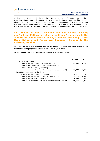

In this respect it should also be noted that in 2011 the Audit Committee regulated the commissioning of non-audit services to the External Auditor, as mentioned in point 37, allowing them to be commissioned as long as the independence of the External Auditor was assured and imposing their prior approval as of the moment the global amount of the respective fees in the year surpassed 10% of the global fees of the audit services.

**47. Details of Annual Remuneration Paid by the Company and/or Legal Entities in a Control or Group Relationship to the Auditor and Other Natural or Legal Persons Pertaining to the Same Network and Percentage Breakdown Relating to the Following Services**

In 2014, the total remuneration paid to the External Auditor and other individuals or companies' belonging to the same network was 951,375 euros.

In percentage terms, the amount referred to is divided as follows:

|                                                                         | Amount  | $\frac{1}{\sqrt{2}}$ |
|-------------------------------------------------------------------------|---------|----------------------|
| On behalf of the Company                                                |         |                      |
| Value of the certification of accounts services $(\epsilon)$            | 95,390  | 10,0%                |
| Value of the compliance and assurance services $(\epsilon)$             |         |                      |
| Value of the tax advisory services $(\epsilon)$                         |         |                      |
| Value of services other than the certification of accounts $(\epsilon)$ | 26,440  | 2,8%                 |
| By entities that are part of the Group                                  |         |                      |
| Value of the certification of accounts services $(\epsilon)$            | 714,087 | 75,1%                |
| Value of the compliance and assurance services $(\epsilon)$             | 9,000   | 0,9%                 |
| Value of the tax advisory services $(\epsilon)$                         | 36,942  | 3,9%                 |
| Value of services other than the certification of accounts $(\epsilon)$ | 69,516  | 7,3%                 |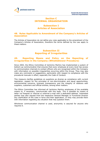# **Section C INTERNAL ORGANISATION**

# **Subsection I Articles of Association**

# **48. Rules Applicable to Amendment of the Company's Articles of Association**

The Articles of Association do not define any rules applicable to the amendment of the Company's Articles of Association, therefore the terms defined by the Law apply to these matters.

# **Subsection II Reporting of Irregularities**

# **49. Reporting Means and Policy on the Reporting of Irregularities in the Company (Whistleblower Procedure)**

Since 2004, the Ethics Committee of Jerónimo Martins has implemented a system of bottom-up communication that ensures that every employee at every level has access to communication channels to contact officers who are recognised within the Company with information on possible irregularities occurring within the Group. They may also make any comments or suggestions, particularly with respect to compliance with the procedural manuals in effect, especially the Code of Conduct.

This measure clarifies guidelines on questions as diverse as compliance with current legislation, respect for the principles of non-discrimination and equal opportunities, environmental concerns, business transparency and the integrity of relations with suppliers, customers and official entities, among other matters.

The Ethics Committee has informed all Jerónimo Martins employees of the available means to, if necessary, communicate with this body. This is possible by means of letter via freepost or internal or external e-mail with a dedicated address. Interested parties may also request from the respective General Manager or Functional Director any clarification of the rules in force and their application, or they may provide them with information regarding any situation that may question them.

Whichever communication channel is used, anonymity is assured for anyone who requires it.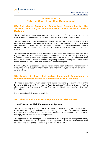

# **Subsection III Internal Control and Risk Management**

# **50. Individuals, Boards or Committees Responsible for the Internal Audit and/or Implementation of the Internal Control Systems**

The Internal Audit Department assesses the quality and effectiveness of the internal control and risk management systems that are set by the Board of Directors.

The Internal Control objectives involve the assurance of the operational efficiency, the financial and operational reporting consistency and the fulfilment of applicable laws and regulations. To assure it, the Internal Audit activity plan takes in consideration the evaluation of the operational risks and the critical processes applicable to each company.

The results of the internal audits performed during each year are made available, on a regular basis to the Internal Control Committee and to the Group's Managing Committee. Each quarter these reports are presented to the Audit Committee. With the same regularity a report is prepared regarding the status of implementation of the recommendations as agreed with the audited areas managers.

During 2014, the processes of stock management, cash collection, management of accounts payable, supplementary income and information systems risks were audited, among others.

# **51. Details of Hierarchical and/or Functional Dependency in Relation to Other Boards or Committees of the Company**

The head of the Internal Audit Department reports hierarchally to the Chairman of the Board and CEO and functionally to the Audit Committee. The head of Internal Audit is also a member of the Internal Control Committee, which in turn reports to the Audit Committee.

See organisational structure in point 21.

# **52. Other Functional Areas Responsible for Risk Control**

## **a) Enterprise Risk Management System**

The Group, and in particular, its Board of Directors, dedicates a great deal of attention to the risks affecting the businesses and their objectives, and is committed to ensure that Risk Management is an effective and fundamental component of the corporate strategy, culture and value-creation process.

The approach to Risk Management is detailed in the Group's Risk Management Policy that sets out the Group's Enterprise Risk Management System, and outlines the roles and responsibilities of the persons responsible for its execution.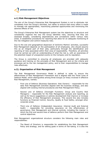

## **a.1) Risk Management Objectives**

The aim of the Group's Enterprise Risk Management System is not to eliminate risk completely from the Group's activities, but rather to ensure that every effort is made to manage risk appropriately, maximizing potential opportunities and minimizing the adverse effects of risk.

The Group's Enterprise Risk Management system has the objectives to structure and consistently organize the way the Group identifies risks, assuring that they are assessed broadly, considering dependencies and correlations within various risks areas. It establishes procedures for reporting that allow for an adequate monitoring of the risk mitigation and control measures risks.

Due to the size and geographical dispersion of Jerónimo Martins' activities, successful Risk Management depends on the participation of all employees, who should assume this as an integral part of their jobs, particularly through the identification and reporting of risks associated within their area of responsibility. Therefore, all activities must be carried out with an understanding of what the risk is, with an awareness of the potential impact of unexpected events on the Company and its reputation.

The Group is committed to ensuring all employees are provided with adequate guidance and training on the principles of Risk Management and on the criteria and processes set by the risk management policy, and to their responsibilities to manage risks effectively.

#### **a.2). Organisation of Risk Management**

The Risk Management Governance Model is defined in order to ensure the effectiveness of Risk Management Framework and is aligned with the Three Lines of Defence Model, which distinguishes among three Groups (or lines) involved in effective Risk Management, namely:

- First Line of Defence (Business Operations: Risk Owners) responsible for the daily Risk Management activities aligned with the business strategy, and also aligned with existing internal procedures and Risk Management Policy;
- Second Line of Defence (Oversight Functions: Group and Country Risk Managers) – responsible for the Risk Management analysis and reporting, as well as for future suggestions or policies development that improve or increase the efficiency of Risk Management processes. This second line also includes functions as Financial Control, Security, Quality & Food Safety, amongst other corporate areas.
- Third Line of Defence (Independent Assurance: Internal Audit and External Audit) – responsible for providing assurance on the effectiveness of governance, Risk Management and internal controls, including the manner in which the first and second lines of defence perform their Risk Management and control objectives.

Risk Management organizational structure considers the following main roles and responsibilities:

The Board of Directors is responsible for establishing the Risk Management Policy and strategy, and for setting goals in terms of risk-taking. It is also the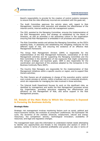

Board's responsibility to provide for the creation of control systems necessary to ensure that the risks effectively incurred are consistent with the goals set;

- The Audit Committee approves the activity plans with regard to Risk Management, monitors their execution and assesses the effectiveness of the internal control, internal auditing and risk management system;
- The CEO, assisted by the Managing Committee, ensures the implementation of the Risk Management policy and strategy as established by the Board of Directors, as well as promotes a risk awareness culture in the organization ensuring that Risk Management is embedded in all processes and activities;
- The Risk Committee assists and advises the Managing Committee, as the CEO's assisting body, in assessing and establishing the mitigating measures for the different types of risk, and ensuring the existence of an effective Risk Management framework;
- The Group Risk Management Division (GRM) is responsible for the implementation of the Risk Management framework, coordination of all Risk Management activities and for supporting the Managing Committee and the Risk Committee in the identification of risk exposures that might compromise the Group's strategic and business goals. GRM is also responsible for the coordination and alignment of the practices adopted by the Companies in the Business Continuity Plans (BCP);
- The Country Risk Managers are responsible for the implementation of Risk Management initiatives within a specific country or region, and to support Risk Owners activities;
- The Risk Owners are all employees in charge of the execution and/or control over a given process or activity, within a business unit or a corporate structure, which are responsible for managing the risks involved in those activities;
- The Internal Audit Department focuses its work on the significant risks, as identified by management and audits the Risk Management processes across the Organization, providing assurance regarding the effectiveness and efficiency on the Management of Risk, and active support in the Risk Management process.

# **53. Details of the Main Risks to Which the Company is Exposed in Pursuing Its Business Activity**

#### **Strategic Risks**

Strategic risk management involves monitoring factors such as social, political and macro-economic trends; the evolution of consumers' preferences; the businesses' life cycle; the dynamics of the markets (financial, employment, natural and energy resources); the competitors' activity; technological innovation; availability of resources; and legal and regulatory changes.

The management team uses this information to understand market needs attempting to identify any opportunities and threats in the industries and sectors in which it operates, namely in terms of potential profitability and growth, but also in terms of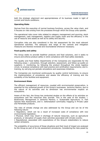

both the strategic alignment and appropriateness of its business model in light of current and future conditions.

#### **Operating Risks**

Derives from the execution of normal business functions, across the value chain, and it focuses on risks arising from the processes through which the Group units operate.

The operational risks cover risks related to category management and sourcing, stock management, cash management, logistics and supply chain and the efficiency in the use of resource and assets as well as its safety and security.

Corruption risks are also considered in the risk assessment for the most relevant operational activities. The adequacy and range of the controls and mitigation measures are likewise reviewed and reconsidered whenever necessary.

#### **Food quality and safety**

The Group seeks to provide healthier products and food solutions, and it seeks to ensure and enforce product safety in strict compliance with food safety standards.

The Quality and Food Safety Departments of the Companies are responsible for the following areas: i. prevention, through selection, assessment, and follow-up audits on suppliers; ii. monitoring, by following the product throughout the whole logistics circuit, to analyse compliance with best practice and certification requirements; and iii. training, by carrying out periodic simulations and awareness initiatives.

The Companies are monitored continuously by quality control technicians, to ensure the implementation of procedures and assess the efficiency of training and the suitability of the facilities and equipment.

#### **Environment Risks**

The efficient management of resources, coupled with environmental preservation, is essential for the sustained growth of the Group's businesses. Jerónimo Martins, due to the nature of its activities and its dimension has environmental impacts on ecosystems.

Aware of this fact, the Group has conducted studies on the effects of its activities on ecosystems and the resources they provide. This is the case of the studies: i. Biodiversity Management in Jerónimo Martins; ii. Sustainable Agriculture; iii. Fish Species Risk Assessment, and iv. Deforestation commodity mapping in Private Label and Perishable products.

The risks of climate change are also addressed by the Group and can be of the following nature:

• Regulatory, which can be a result of increased costs of compliance with new environmental legislation;

• Physical, which may result in shortage of natural resources, such as agricultural products, or disruption of supply chain activities associated with climatic events;

• Reputational, associated with expectations of the Group's stakeholders to reduce carbon emissions.

The probability of occurrence of these situations and their level of impact are analysed by the Group as part of its risk assessment procedures. Considering the risks posed by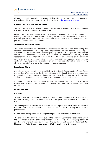

climate change, in particular, the Group discloses its review in the annual response to CDP (Climate Diclosure Program), which is available at https://www.cdp.net.

#### **Physical Security and People Risks**

The Security Department is responsible for ensuring that conditions exist to guarantee the physical security of people and facilities.

Physical security and people risks management involves defining and publicising working standards and instructions, carrying out employee awareness initiatives and training, performing audits on the stores, risk assessment in all establishments, and performing emergency simulations.

#### **Information Systems Risks**

The risks associated to Information Technologies are analysed considering the different components: planning and organization of information technologies, development of information technologies, operations management, information security and continuity. The risk management of Information Security is the responsibility of the Information Security Department and consists of implementing and maintaining an information security management system that ensures confidentiality, integrity and availability of critical business information, and recovery of the systems in the event of interruption to the operations.

#### **Regulation Risks**

Compliance with legislation is provided by the Legal Departments of the Group Companies. With regard to the Holding Company, the Legal Department guarantees the coordination and implementation of strategies aimed at protecting the interests of Jerónimo Martins in legal disputes, and it also manages outside advisers.

In order to ensure the fulfilment of tax obligations, the Group Fiscal Affairs Department advises the Group's Companies, as well as oversees their tax proceedings.

#### **Financial Risks**

#### Risk Factors

Jerónimo Martins is exposed to several financial risks, namely: market risk (which includes exchange rate risk, interest rate risk and price risk), liquidity risk and credit risk.

The management of these risks is focused on the unpredictable nature of the financial markets and aims to minimize its adverse effects on the Company's financial performance.

Certain types of exposure are managed using financial derivative instruments.

The activity in this area is carried out by the Financial Operations Department, under the supervision of the Chief Financial Officer. It is responsible for identifying, assessing and hedging financial risks, by following the guidelines set out in the Financial Risk Management Policy that was approved in 2012 by the Board of Directors.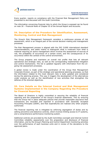

Every quarter, reports on compliance with the Financial Risk Management Policy are presented to and discussed with the Audit Committee.

The information concerning financial risks to which the Group is exposed can be found on note 30 – Financial Risks of Chapter III of the Annual Report and Accounts.

## **54. Description of the Procedure for Identification, Assessment, Monitoring, Control and Risk Management**

The Group's Risk Management framework considers a continuous process of risk assessment, which is an integral part of the normal decision-making and management processes.

The Risk Management process is aligned with the ISO 31000 international standard recommendations, and seeks mainly to distinguish what is irrelevant from what is material requiring an active management which involves the assessment of sources of risk, the probability of occurrence of a certain event, and the consequences of its occurrence within the context of the control environment.

The Group prepares and maintains an overall risk profile that lists all relevant operational and strategic risks, as well as the corresponding implemented mitigation and control mechanisms. The list is updated regularly with information from the ongoing risk assessment processes.

A global review is made under the coordination of the Group Risk Management Corporate Division, as part of the strategic and operational planning processes, so that the information related to the most relevant risks is dully updated and considered during the planning process. This way it triggers the development of the alternatives under analysis as well as the identification of new activities that strengthen the defense of the directed objectives.

# **55. Core Details on the Internal Control and Risk Management Systems Implemented in the Company Regarding the Procedure for Financial Reporting**

The Board of Directors is highly committed in assuring the reliability of financial reporting and the preparation of the Group's financial statements. This by ensuring that the Group has in place adequate policies that provide reasonable assurance that transactions are recorded and reported in accordance with Generally Accepted Accounting Principles (GAAP), and that expenditures are realized only when properly authorized.

The financial reporting risk is mitigated by enforcing segregation of duties and by setting preventive and detective controls, which involves limiting access to IT systems, and a comprehensive performance monitoring system.

Additional controls are provided by the Audit Committee oversight and Internal Control Committee reliability assessments over the preparation and disclosure of financial information, and by the Group's Planning and Control Department monitoring activities over the performance of each business units and in review of the deviations to the approved plans.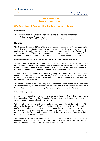

# **Subsection IV Investor Assistance**

# **56. Department Responsible for Investor Assistance**

#### **Composition**

The Investor Relations Office of Jerónimo Martins is comprised as follows: Office Manager: Cláudia Falcão Team: Ana Maria Marcão, Hugo Fernandes and Solange Martins

#### **Main Roles**

The Investor Relations Office of Jerónimo Martins is responsible for communication with all investors - institutional and private, national and foreign - as well as the analysts who formulate opinions and recommendations regarding the Company. The Investor Relations Office is also responsible for matters related to the Comissão do Mercado de Valores Mobiliários (Portuguese Securities and Exchange Commission.

#### **Communication Policy of Jerónimo Martins for the Capital Markets**

Jerónimo Martins' policy for communicating to the capital markets aims to ensure a regular flow of relevant information, which respects the principles of symmetry and simultaneity and creates a faithful image of the Company's business performance and strategy for investors, shareholders, analysts and the general public.

Jerónimo Martins' communication policy regarding the financial market is designed to ensure that material information - history, current performance and outlook for the future - is available to all its stakeholders, in order to provide clear and complete information about the Group.

The financial communication strategy outlined for each year is based on the principles of transparency, rigour and consistency. This ensures that all relevant information is transmitted in a non-discriminatory, clear and complete manner to stakeholders.

#### **Information provided**

Annually, and based on the above-mentioned principles, the Office draws up a Communication Plan for the Financial Market, which is included in the global communication strategy of Jerónimo Martins.

With the objective of transmitting an updated and clear vision of the strategies of the different business areas of Jerónimo Martins to the market, in terms of operational performance and outlook, the Investor Relations Office organises a series of events so that investors can learn about Jerónimo Martins' various businesses, its strategies and prospects for the future, and simultaneously follow the progress of activities during the year, by clarifying any doubts.

Throughout 2014 activities were carried out that allowed the financial markets to dialogue not only with the Investor Relations Office, but also with the Jerónimo Martins management team. The following are highlighted: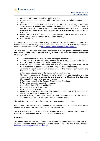

- Meetings with financial analysts and investors;
- Responses to e-mail questions addressed to the Investor Relations Office;
- **Telephone calls;**
- Release of announcements to the market through the CMVM (Portuguese Securities and Exchange Commission) extranet, through the Jerónimo Martins and Euronext Lisbon web sites, and mass mailings sent to all the Company's investors and financial analysts listed in the database created and updated by the Office;
- Presentations to the financial community:presentation of results, roadshows, conferences, Annual General Shareholders' Meeting;
- **Biedronka's Day.**

In order to make information easily accessible to all interested parties, the communications issued regularly by the Office are available in full on the Jerónimo Martins' institutional website at http://www.jeronimomartins.pt/?lang=en.

The site not only provides mandatory information but also general information about the Group and the Companies that form it, in addition to other information considered relevant, namely:

- Announcements to the market about privileged information;
- Annual, six-month and quarterly reports of the Group, including the Annual Report on the activities of the Audit Committee;
- Economic and financial indicators and statistical data, updated every six or twelve months, in accordance with the Company or business area;
- Jerónimo Martins' most recent presentation to the financial community, and historical collection;
- Information about share performance on the stock market;
- The annual calendar of Company events, released at the beginning of every year, including, among others, General Shareholders' Meetings, the disclosure of annual, half-yearly and quarterly results;
- **Information regarding the General Shareholders' Meetings;**
- **Information about Corporate Governance;**
- Code of Conduct of Jerónimo Martins;
- Company Articles of Association;
- Current Internal Regulations;
- Minutes of the General Shareholders' Meetings, extracts of which are available within five days of the meeting's date;
- Historical lists of attendees, agendas, and decisions taken at the General Shareholders' Meetings held over the five previous years.

The website also has all this information, with no exception, in English.

Additionally, the website is a pioneer in its accessibility for people with visual disabilities, using a tool specially designed for this purpose.

The site also has a contact/information request form, which allows rapid interaction with the Company via e-mail, and inclusion in a mailing list.

#### **Contacts**

The Office may be contacted through the Market Relations Representative and the Investor Relations Office Manager, Cláudia Falcão - and via the e-mail address: investor.relations@jeronimo-martins.pt.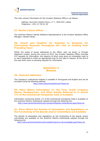

The main contact information for the Investor Relations Office is as follows:

Address: Rua Actor António Silva, n.º 7, 1649-033, Lisboa Telephone: +351 21 752 61 05

# **57. Market Liaison Officer**

The Jerónimo Martins' Market Relations Representative is the Investor Relations Office Manager, Cláudia Falcão.

## **58. Extent and Deadline for Replying to Requests for Information Received Throughout the Year or Pending from Preceding Years**

Within the scope of issues addressed to the Office, sent via email, or through telephone contact, during the course of 2014, the Investor Relations Office recorded 472 requests for information, the majority of which were given an immediate reply to or were responded to within an appropriate time for the type of request. At the end of the year there were no pending requests for information.

# **Subsection V Website**

## **59. Relevant Addresses**

The Company's institutional website is available in Portuguese and English and can be accessed using the following address

http://www.jeronimomartins.pt/?lang=en

# **60. Place Where Information on The Firm, Public Company Status, Headquarters, and Other Details Referred to in Article 171 of the Commercial Companies Code is Available**

Information concerning Article 171 of the Commercial Companies Code is available on the Jerónimo Martins institutional website through the following link:

http://www.jeronimomartins.pt/o-grupo/contactos-corporativos.aspx?lang=en

# **61. Place Where the Articles of Association and Regulations on the Functioning of the Boards and/or Committees are Available**

The Articles of association and regulations on the functioning of the boards and/or committees are available on the Jerónimo Martins institutional website through the following link:

http://www.jeronimomartins.pt/investidor/governo-da-sociedade.aspx?lang=en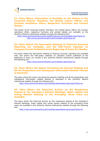# **62. Place Where Information is Available on the Names of the Corporate Boards' Members, the Market Liaison Officer, the Investor Assistance Office, Respective Functions and Contact Details**

The names of the corporate boards' members, the market liaison officer, the investor assistance office, respective functions and contact details are available on the Jerónimo Martins institutional website through the following links:

http://www.jeronimomartins.pt/investidor/governo-da-sociedade.aspx?lang=en http://www.jeronimomartins.pt/investidor.aspx?lang=en

# **63. Place Where the Documents Relating to Financial Accounts Reporting are Available, and the Half-Yearly Calendar on Company Events Published at the Beginning of Every Six Months**

The place where the documents relating to financial accounts reporting are available that, and where the half-yearly calendar on company events published at the beginning of every six months is the Jerónimo Martins institutional website through the following link:

http://www.jeronimomartins.pt/investidor.aspx?lang=en

# **64. Place Where the Notice Convening the General Meeting and All the Preparatory and Subsequent Information Related Thereto is Disclosed**

The place where the notice convening the general meeting and all the preparatory and subsequent information related thereto is disclosed is the Jerónimo Martins institutional website through the following link:

http://www.jeronimomartins.pt/investidor/assembleia-geral.aspx?lang=en

# **65. Place Where the Historical Archive on the Resolutions Passed at the Company's General Meetings, Share Capital and Voting Results Relating to the Preceding Three Years are Available**

The place where the historical archive on the resolutions passed at the Company's General Meetings, share capital and voting results relating to the preceding three years are available is the Jerónimo Martins institutional website through the following link:

http://www.jeronimomartins.pt/investidor/assembleia-geral.aspx?lang=en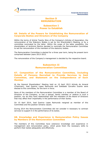

# **Section D REMUNERATION**

# **Subsection I Power to Establish**

# **66. Details of the Powers for Establishing the Remuneration of Corporate Bodies and Directors of the Company**

Within the terms of Article Twenty Nine of the Company's Articles of Association, the remuneration of the Statutory Bodies is set by the Shareholder's Meeting, or by a committee nominated by the latter. Within the scope of the latter possibility, the shareholders of Jerónimo Martins decided to nominate the Remuneration Committee to set the remuneration of the members of the statutory bodies.

The Remuneration Committee is elected for a three year term, being the present term comprised between years 2013-2015.

The remuneration of the Company's management is decided by the respective board.

# **Subsection II Remuneration Committee**

# **67. Composition of the Remuneration Committee, Including Details of Persons Recruited to Provide Services to Said Committee, and Statement on the Independence of Each Member**

At the General Shareholders' Meeting held on 10 April 2013 Arlindo do Amaral (Chairman), José Queiroz Lopes Raimundo and Soledade Carvalho Duarte were elected to this committee, for the term in force.

None of the members of the Remuneration Committee is a member of the Board of Directors of the Company, or has a spouse, family member or relative in such a position, nor do they have relationships with the members of the Board of Directors that may affect their impartiality in the performance of their duties.

On 10 April 2014, José Queiroz Lopes Raimundo resigned as member of this Committee and the position remains vacant.

During 2014 the Remuneration Committee did not consider it necessary to contract services to support it in the performance of its duties.

## **68. Knowledge and Experience in Remuneration Policy Issues by Members of the Remuneration Committee**

The members of this Committee have extensive knowledge and experience in management and remuneration policy, which gives them the necessary skills to perform their duties adequately and effectively.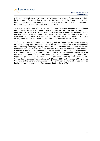



Arlindo do Amaral has a Law degree from Lisbon Law School of University of Lisbon, having worked for more than thirty years in Fima Lever Iglo Group in the area of human resources management, having namely acted as Human Resources Manager, Remuneration Officer, and Human Resources Director.

Soledade Carvalho Duarte has a degree in Human Resources Management and Labor Psychology by ISLA/ESOCT, working since 1986 in the Executive Search area, having been responsible for the deployment of the Executive Assessment business line in Portugal. She developed several processes for the selection and the hiring of executives and senior management in different areas of activity. She was distinguished as Practice Leader in the Automotive and Health Care sector.

José Queiroz Lopes Raimundo has a Law degree from Lisbon Law School of University of Lisbon. During his professional career he attended several Financial Management and Marketing trainings, having acted as legal counsel and advisor to several companies in economic and financial matters. He acted as member of the Board of Directors of the following companies: Espírito Santo – Sociedade de Investimentos, S.A. (March 1986 to July 1992), Gesfinc – Espírito Santo Estudos Financeiros e de Mercados de Capitais, S.A. (September 1992 to September 2000), Esumédica – Prestação de Cuidados Médicos, S.A. (September 1994 to September 2000), Companhia de Seguros Tranquilidade, S.A. (January 1990 to September 2000), and as Chairman of the General Shareholders' Meeting of Carrefour (Portugal) – Sociedade de Exploração de Hipermercados, S.A. (August 1987 to June 2001).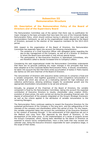

# **Subsection III Remuneration Structure**

# **69. Description of the Remuneration Policy of the Board of Directors and of the Supervisory Board**

The Remuneration Committee was of the opinion that there was no justification for major changes to the basic principles that have been the core of the Corporate Bodies Remuneration Policy, which should continue having in attention the current legal and recomendatory framework, as well as the organizational model adopted by the Board of Directors, pursuant to the election of the respective members for the 2013-2015 period.

With respect to the organization of the Board of Directors, the Remuneration Committee has especially taken into account the following characteristics:

- The existence of a Chief Executive Officer with delegated duties regarding the day-to-day management of the Company, as well as of a Director or Directors to whom the Board have entrusted or may entrust special duties;
- The participation of Non-Executive Directors in Specialized Committees, who are therefore called to devote increased time to Company's affairs.

Considering the said organizational model the Remuneration Committee understands that there are no grounds justifying any major changes in the principles that have been adopted as to the Corporate Bodies Remuneration Policy. It should, nevertheless, be taken into account the fact that there exists accumulation of duties in Pedro Soares dos Santos as CEO and Chairman of the Board of Directors.

The remuneration of Directors with executive duties continues to comprise a fixed and a variable component, that together guarantee a more competitive remuneration in the market and which also serves as a motivating element for high individual and collective performance, allowing ambitious targets for accelerated growth and the appropriate shareholders remuneration to be set and achieved.

Annually, by proposal of the Chairman of the Board of Directors, the variable component is fixed by the Remuneration Committee, taking into account the expected contribution of Executive Directors to results, shareholder value creation (EVA), evolution of share prices, the work carried out during the preceding financial year, the degree of achievement of the projects integrated on the Group's Strategic Scorecard, as well as the criteria applied in the attribution of variable remuneration to the remaining Managers.

The Remuneration Policy continues seeking to reward the Executive Directors for the sustained performance of the Company in the long term, and the safeguarding of the interests of the company and shareholders within this period of time. For this reason, the variable component takes into account the contribution of the Executive Directors to the conduct of business through: 1) the achievement of EVA objectives set out in the Medium and Long Term Plan approved by the Board of Directors; 2) the development of the share price; 3) the implementation of a series of projects across the Group's Companies, which, having been identified by the Board of Directors as essential to ensure future competitiveness, have a time scale that may exceed one calendar year, being the Executive Directors responsible for each compliance stage, in the scope of their duties.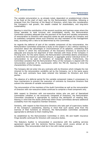

The variable remuneration is, as already noted, dependent on predetermined criteria to be fixed at the start of each year by the Remuneration Committee, following a proposal from the Chairman of the Board of Directors, which take into consideration the Company's real growth, the wealth created for shareholders, and long-term sustainability.

Bearing in mind the contribution of the several countries and business areas where the Group operates to total turnover and consolidated results, the Remuneration Committee considers adequate that the payment of the fixed and variable components of remuneration to Directors with executive duties be split amongst the Company and its subsidiary companies where such Directors are also members of the management body, according with a ratio to be determined by this Committee.

As regards the deferral of part of the variable component of the remuneration, the Remuneration Committee conducted a study on the subject in 2011 without reaching a conclusion about the advantages or inconveniences of its adoption, considering that the manner in which the remuneration of the Executive Directors is structured is adequate and ensures full alignment of their interests with those of the Company in the long term. For the same reason, the Remuneration Committee deems unnecessary to determine the maximum potential amount, in aggregate and/or individual terms of remuneration to be paid to members of Corporate Bodies. Furthermore, the Committee considers that the Remuneration Policy of the Company is aligned with the remuneration practices of its counterparts within the PSI-20, bearing in mind the characteristics of the Company.

The Company did not enter into any contracts with its Directors which mitigate the risk inherent to the remuneration variability set by the Company, nor is the same aware that any such contracts have been entered into between its Directors and third parties.

The absence of a deferral period for the variable component makes it unnecessary to have mechanisms to prevent the execution of contracts by Executive Directors that subvert the rationale of variable remuneration.

The remuneration of the members of the Audit Committee as well as the remuneration of Directors with non-executive duties continues to comprise a fixed component only.

With respect to Directors with non-executive duties who are part of Specialized Committees (whether or not exclusively composed of Directors), the Remuneration Committee considered it appropriate to continue the attribution of meeting fees, bearing in mind that the duties performed within those Committees demand additional availability from the respective member Directors.

Similarly, with respect to Non-Executive Directors who take part of supervisory bodies of the Company's subsidiaries, bearing in mind that such duties arise from the exercise of their functions as Directors, the Remuneration Committee considered appropriate to attribute to them meeting fees.

As established by the Remuneration Committee in 2010, life and health insurance *fringe benefits* continued for Directors with executive duties.

The Statutory Auditor is remunerated in accordance with the auditing services agreement signed with the Jerónimo Martins Group, which covers almost all its subsidiaries. This remuneration shall be in line with market practices.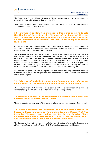

The Retirement Pension Plan for Executive Directors was approved at the 2005 Annual General Metting, which is described in point 76.

This remuneration policy was subject to discussion at the Annual General Shareholders' Meeting held last year.

## **70. Information on How Remuneration is Structured so as To Enable the Aligning of Interests of the Members of the Board of Directors With the Company's Long-Term Interests, As Well As How It Is Based on the Performance Assessment and How It Discourages Excessive Risk Taking**

As results from the Remuneration Policy described in point 69, remuneration is structured in a way that allows alignment between the interests of the Board Members with the long term interests of the Company.

The existence of fixed and variable components of remuneration, the fact that the variable remuneration is fixed depending on the verification of several objective factors, e.g., the real growth of the Company, the wealth created for shareholders, the implementation of projects across the Group's Companies which ensure the future competitiveness of businesses, and long term sustainability, cause that management's evaluation is made taking into attention the interests of the Company and its shareholders not only in the short term, but also in the middle and long term.

As referred in point 69, the Company did not enter into any contracts with its Directors which intend to mitigate the risk inherent to the variability of remuneration set by the Company.

## **71. Existence of Variable Remuneration Component and Information on Any Impact of the Performance Appraisal on This Component**

The remuneration of Directors with executive duties is comprised of a variable component depending, also, of a performance review. See point 69.

## **72. Deferred Payment of the Remuneration's Variable Component, and Specification of Relevant Deferral Period**

There is no deferred payment of the remuneration's variable component. See point 69.

## **73. Criteria Whereon the Allocation of Variable Remuneration on Shares is Based and Also on Maintaining Company Shares That The Executive Directors Have Had Access To, On the Possible Share Contracts (Hedging) or Risk Transfer Contracts, Corresponding Limit, and Its Relation to the Total Annual Remuneration Value**

The Company does not have any type of plan for attribution of shares to Directors and officers, as defined in no. 3 of Article 248-B of the Portuguese Securities Code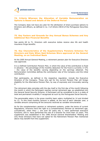## **74. Criteria Whereon the Allocation of Variable Remuneration on Options is Based and details of the Deferral Period**

The Company does not have any plan for the attribution of share purchase options to Directors and officers, as defined in no. 3 of Article 248-B of the Portuguese Securities Code

## **75. Key Factors and Grounds for Any Annual Bonus Schemes and Any Additional Non-Financial Benefits**

See points 69 to 71. Directors with executive duties receive also life and health insurance *fringe benefits*.

## **76. Key Characteristics of the Supplementary Pensions Schemes For Directors and Date When Said Schemes Were approved at the General Meeting, on an Individual Basis**

At the 2005 Annual General Meeting, a retirement pension plan for Executive Directors was approved.

It is a Defined Contribution Pension Plan, in which the value of the contribution is fixed in advance – the percentage of the monthly deduction for the Fund is currently 17.5% – the value of the benefits varying depending on the earnings obtained. The Remuneration Committee defines the contribution rate of the Company and the initial contribution.

Plan participants, as defined in the respective regulation, include the Executive Directors of the Company. Those who opt for the current Pension Plan will forego eligibility for the Alternative Pension Plan, by way of expressly and irrevocably waiving it.

The retirement date coincides with the day itself or the first day of the month following the month in which the Participant reaches normal retirement age, as established into the General Social Security Scheme. A Participant will be considered to be in a state of total and permanent invalidity if recognized as such by the Portuguese Social Security.

The pensionable salary is the gross monthly basic salary multiplied by 14 and divided by 12. To this fixed monthly amount is added, at the end of each calendar year, a variable amount comprising all the amounts received as variable remuneration.

As for the complementary pension or retirement systems, under the terms of current Regulations, Directors have the right to a Complementary Pension at retirement age, cumulatively, when they: i. are over 60 years old; ii. have performed executive functions; and iii. have performed the role of a Director for more than 10 years. This supplement was established in the 1996 Annual General Shareholders' Meeting and only those Directors that have not opted for the Retirement Pension Plan mentioned above may benefit from this supplement.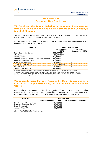

# **Subsection IV Remuneration Disclosure**

# **77. Details on the Amount Relating to the Annual Remuneration Paid as a Whole and Individually to Members of the Company's Board of Directors**

The remuneration of the members of the Board in 2014 totaled 1,712,337.52 euros, corresponding the total amount to fixed remuneration.

In the chart below reference is made to the remuneration paid individually to the Members of the Board of Directors:

| <b>Director</b>                               | <b>Remuneration Paid</b>        |                                           |  |  |
|-----------------------------------------------|---------------------------------|-------------------------------------------|--|--|
|                                               | <b>Fixed Component</b><br>(EUR) | <b>Variable</b><br><b>Component (EUR)</b> |  |  |
| Pedro Soares dos Santos                       | 259,087.56*                     |                                           |  |  |
| Alan Johnson                                  | 493,500.00**                    |                                           |  |  |
| Andrzej Szlezak                               | 63,000.00                       |                                           |  |  |
| António Pedro de Carvalho Viana-Baptista **** | 66,000.00                       |                                           |  |  |
| Francisco Seixas da Costa                     | 63,000.00                       |                                           |  |  |
| Hans Eggerstedt****                           | 76,000.00                       |                                           |  |  |
| José Soares dos Santos                        | 575,749.96***                   |                                           |  |  |
| Nicolaas Pronk                                | 50,000.00                       |                                           |  |  |
| Sérgio Tavares Rebelo****                     | 66,000,00                       |                                           |  |  |

\* Includes contributions in the financial year to the Retirement Pension Plan, in the amount of EUR 38.587,56.

\*\* Includes contributions in the financial year to the Retirement Pension Plan, in the amount of EUR 73.500,00.

\*\*\* Includes contributions in the financial year to the Retirement Pension Plan, in the amount of EUR 85.749,96.

\*\*\*\* Member of the Company's Supervisory Board; See Point 81.

# **78. Amounts paid, For Any Reason, By Other Companies in a Control or Group Relationship, or are Subject to a Common Control**

Additionally to the amounts referred to in point 77, amounts were paid by other companies in a control or group relationship or subject to a common control to Directors during 2014 totalling EUR 487.444,66, as shown in the chart below:

| <b>Director</b>              | <b>Amounts Paid</b>          |                                 |  |
|------------------------------|------------------------------|---------------------------------|--|
|                              | <b>Fixed Component (EUR)</b> | <b>Variable Component (EUR)</b> |  |
| Pedro Soares dos Santos*     | 409,500,00                   | $\overline{\phantom{a}}$        |  |
| Francisco Seixas da Costa ** | 27.972.33                    | $\overline{\phantom{a}}$        |  |
| Hans Eggerstedt**            | 27.972.33                    | $\overline{\phantom{a}}$        |  |
| Andrzej Szlezak**            | 22,000.00                    | $\overline{\phantom{0}}$        |  |

\* For exercise of management duties.

\*\* For exercise of functions in supervisory board.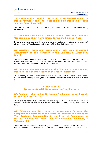## **79. Remuneration Paid in the Form of Profit-Sharing and/or Bonus Payments and The Reasons For Said Bonuses or Profit Sharing Being Awarded**

The Company did not pay to Directors any remuneration in the form of profit-sharing or bonuses.

# **80. Compensation Paid or Owed to Former Executive Directors Concerning Contract Termination During the Financial Year**

No payment was made, nor there is any payment obligation whatsoever, in the event of termination of functions during the term of the Board of Directors.

# **81. Details of the Annual Remuneration Paid, as a Whole and Individually, to the Members of the Company's Supervisory Board**

The remuneration paid to the members of the Audit Committee, in such quality, as a whole was EUR 48,000.00, being referred in point 77 the remuneration paid individually to the members of the Audit Committee.

# **82. Details of the Remuneration of the Chairman of the Presiding Board to the General Meeting in the Year of Reference**

The Company did not pay remuneration to the Chairman of the Board of the General Shareholder's Meeting in the year of reference, considering what is referred in point 11.

# **Subsection V Agreements with Remuneration Implications**

## **83. Envisaged Contractual Restraints for Compensation Payable for the Unfair Dismissal**

There are no contractual restraints for the compensation payable in the event of dismissal of Directors without due cause. This matter is regulated by the applicable law.

## **84. Existence and Description of Agreements Between the Company and Members of the Board of Directors and Managers That Envisage Compensation in the Event of Resignation or Unfair Dismissal or Termination of Employment Following a Takeover Bid**

There are no agreements between the Company and members of the Managing Bodies, officers or employees that foresee indemnity payments in the event of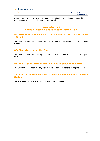

resignation, dismissal without due cause, or termination of the labour relationship as a consequence of change in the Company's control.

# **Subsection VI Share Allocation and/or Stock Option Plan**

## **85. Details of the Plan and the Number of Persons Included Therein**

The Company does not have any plan in force to attribute shares or options to acquire shares.

# **86. Characteristics of the Plan**

The Company does not have any plan in force to attribute shares or options to acquire shares.

# **87. Stock Option Plan for the Company Employees and Staff**

The Company does not have any plan in force to attribute options to acquire shares.

# **88. Control Mechanisms for a Possible Employee-Shareholder System**

There is no employee-shareholder system in the Company.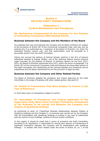# **Section E RELATED PARTY TRANSACTIONS**

# **Subsection I Control Mechanisms and Procedures**

## **89. Mechanisms Implemented by the Company For the Purpose of Controlling Transactions With Related Parties**

# **Business between the Company and the Members of the Board**

Any dealings that may exist between the Company and its Board members are subject to the provisions of Article 397 of the Commercial Companies Code, and may only be entered into if so authorised by a resolution of the Board of Directors, for which the interested Director cannot vote, and that authorisation must be preceded by a favourable opinion from the Audit Committee.

Taking into account the election of Andrzej Szlezak (partner in the firm of lawyers Sołtysiński Kawecki & Szlęzak (SK&S), one of the Jerónimo Martins Group's External Legal Counsels) for the position of Director of Jerónimo Martins for the term 2013- 2015, the Board of Directors authorized since 2013, within the terms of paragraph 2 of Article 397 of the Commercial Companies Code and following the favourable opinion of the Audit Committee, the maintenance of the contract between the Companies and its subsidiaries and the above-mentioned firm for the provision of legal services.

## **Business between the Company and Other Related Parties**

The Board of Directors adopted the procedure and criteria approved by the Audit Committee in the scope of business with other related parties. See point 91.

# **90. Details of Transactions That Were Subject To Control in the Year of Reference**

In 2014 there were no transactions subject to control.

# **91. Description of Procedures and Criteria Applicable to the Supervisory Body When Same Provides Preliminary Assessment of the Business to be Carried Out Between the Company and Holders of Qualifying Holdings**

As mentioned on point 10 ("Significant Business Relationships between Holders of Qualifying Holdings and the Company"), no business was carried out by the Company with the shareholders with Qualifying Holdings or entities in any type of relationship with the owners of such holdings, outside of normal market conditions.

In this regard, it should be noted that in terms of procedure the Audit Committee, according to its regulations, is responsible for issuing prior opinion on transactions of significant importance between the Company and its shareholders with qualifying holdings – or entities with them related under the terms of Article 20, no. 1 of the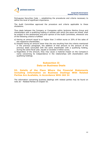

Portuguese Securities Code –, establishing the procedures and criteria necessary to define the level of significant importance.

The Audit Committee approved the procedure and criteria applicable to these situtations.

Thus deals between the Company or Companies within Jerónimo Martins Group and shareholders with a qualifying holding or entities with which the same are linked, shall be subject to the assessment and prior opinion of the Audit Committee, whenever one of the following criteria is fulfilled:

- a) Having an amount equal to or higher than 3 million euros or 20% of the sales of the respective shareholder;
- b) Despite having an amount lower than the one resulting from the criteria mentioned in the previous paragraph, the addition of that amount to the amount of the previous deals concluded with the same shareholder with a qualifying holding, during the same fiscal year, equals or exceeds 5 million euros;
- c) Regardless of the amount, they may cause a material impact on the Company's name concerning its independence in the relationships with shareholders with qualifying holdings.

# **Subsection II Data on Business Deals**

## **92. Details of the Place Where the Financial Statements Including Information on Business Dealings With Related Parties Are Available, in Accordance With IAS 24**

The information concerning business dealings with related parties may be found on note 26 – Related Parties of Chapter III.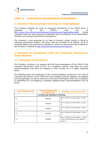# **PART II – CORPORATE GOVERNANCE ASSESSMENT**

# **1. Details of the Corporate Governance Code Adopted**

The Company adopted the Code of Corporate Governance of the CMVM which is published on the CMVM's web site at http://www.cmvm.pt/en/recomendacao/recomendacoes/Pages/default.aspx, having considered that the same ensures an adequate level of protection of its shareholders' interests, and company governance transparency.

The Company is also governed by its Code of Conduct, whose content is linked to corporate governance matters, and which may be consulted on its website. All of its Corporate Bodies are governed by regulations, which are documented and available on the Company's website at http://www.jeronimomartins.pt/?lang=en.

# **2. Analysis of Compliance with the Corporate Governance Code Adopted**

# **2.1. Statement of Compliance**

The Company complies in its essence with the Recommendations of the CMVM in the Corporate Governance Code of 2013. It is accepted, however, that there are some recommendations that were not adopted in their entirety as it is better explained below.

The following shows the breakdown of the recommendations contained in the Code of Corporate Governance of the CMVM that were adopted, partially adopted, not adopted and not applicable, as well as reference to the text of the Report where the compliance or justification for not adopting or partially adopting these recommendations may be found.

| <b>RECOMMENDATION</b> | <b>STATUS REGARDING</b><br><b>THE ADOPTION</b> | <b>REFERRAL TO THE CGR TEXT</b>                                                               |  |  |  |
|-----------------------|------------------------------------------------|-----------------------------------------------------------------------------------------------|--|--|--|
|                       | <b>I. VOTING AND CORPORATE CONTROL</b>         |                                                                                               |  |  |  |
| I.1                   | Adopted                                        | Part I, Section B, Sub-section I, point<br>12                                                 |  |  |  |
| I.2                   | Adopted                                        | Part I, Section B, Sub-section I, point<br>12                                                 |  |  |  |
| 1.3.                  | Adopted                                        | Part I, Section B, Sub-section I, point<br>12                                                 |  |  |  |
| I.4.                  | Adopted                                        | Part I, Section B, Sub-section I, point<br>13                                                 |  |  |  |
| I.5.                  | Adopted                                        | Part I, Section A, Sub-section I, points<br>4 and 5 and Section B, Sub-section I,<br>point 12 |  |  |  |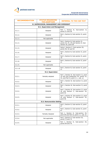

| <b>RECOMMENDATION</b> | <b>STATUS REGARDING</b><br>THE ADOPTION   | <b>REFERRAL TO THE CGR TEXT</b>                                                                                           |  |  |  |
|-----------------------|-------------------------------------------|---------------------------------------------------------------------------------------------------------------------------|--|--|--|
|                       | II. SUPERVISION, MANAGEMENT AND OVERSIGHT |                                                                                                                           |  |  |  |
|                       | II.1. Supervision and Management          |                                                                                                                           |  |  |  |
| II.1.1.               | Adopted                                   | Part I, Section B, Sub-section II,<br>points 21 and 28                                                                    |  |  |  |
| II.1.2.               | Adopted                                   | Part I, Section B, Sub-section II, point<br>21                                                                            |  |  |  |
| II.1.3.               | Not applicable                            |                                                                                                                           |  |  |  |
| II.1.4.               | Adopted                                   | Part I, Section B, Sub-section II,<br>points 24, 25, 29 and Section D, Sub-<br>section III, point 69                      |  |  |  |
| II.1.5.               | Adopted                                   | Parte I, Section C, Sub-section III,<br>points 50, 52 and 54                                                              |  |  |  |
| II.1.6.               | Adopted                                   | Part I, Section B, Sub-section II, point<br>18                                                                            |  |  |  |
| II.1.7.               | Adopted                                   | Part I, Section B, Sub-section II, point<br>18                                                                            |  |  |  |
| II.1.8.               | Adopted                                   | Part I, Section B, Sub-section II, point<br>21                                                                            |  |  |  |
| II.1.9.               | Not applicable                            |                                                                                                                           |  |  |  |
| II.1.10               | Adopted                                   | Part I, Section B, Sub-section II, point<br>21                                                                            |  |  |  |
|                       | II.2. Supervision                         |                                                                                                                           |  |  |  |
| II.2.1.               | Partially adopted                         | Part I, Section B, Sub-section II, point<br>19 and and Subsection III, points 32,<br>33, and Part II, point 2.1., sub. a) |  |  |  |
| II.2.2.               | Adopted                                   | Part I, Section B, Sub-section II, point<br>30                                                                            |  |  |  |
| II.2.3.               | Adopted                                   | Part I, Section B, Sub-section II, point<br>45                                                                            |  |  |  |
| II.2.4.               | Adopted                                   | Part I, Section B, Sub-section II, point<br>30 and Section C, Sub-section III,<br>point 52                                |  |  |  |
| II.2.5.               | Adopted                                   | Part I, Section B, Sub-section II, point<br>29 and Section C, Sub-section III,<br>point 50                                |  |  |  |
|                       | <b>II.3. Remuneration Setting</b>         |                                                                                                                           |  |  |  |
| II.3.1.               | Adopted                                   | Part I, Section D, Sub-section II, point<br>67                                                                            |  |  |  |
| II.3.2.               | Adopted                                   | Part I, Section D, Sub-section II, point<br>67                                                                            |  |  |  |
| II.3.3.               | Partially Adopted                         | Part I, Section D, Sub-section III,<br>point 69 and Part II, point 2.1, sub. b)                                           |  |  |  |
| II.3.4.               | Not applicable                            | Part I, Section D, Sub-section III,<br>points 73 and 74                                                                   |  |  |  |
| II.3.5.               | Adopted                                   | Part I, Section D, Sub-section III,<br>points 69 and 76                                                                   |  |  |  |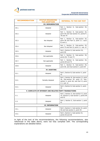

| <b>RECOMMENDATION</b>                                          | <b>STATUS REGARDING</b><br>THE ADOPTION | <b>REFERRAL TO THE CGR TEXT</b>                                                                                                               |  |  |
|----------------------------------------------------------------|-----------------------------------------|-----------------------------------------------------------------------------------------------------------------------------------------------|--|--|
|                                                                | <b>III. REMUNERATION</b>                |                                                                                                                                               |  |  |
| III.1.                                                         | Adopted                                 | Part I, Section D, Sub-section III,<br>point 69                                                                                               |  |  |
| III.2.                                                         | Adopted                                 | Part I, Section D, Sub-section III,<br>point 69 and Sub-section IV, points77,<br>78 and 79                                                    |  |  |
| III.3.                                                         | Not Adopted                             | Part I, Section D, Sub-section III,<br>point 69 and Part II, point 2.1. sub.s<br>b) and $c$ )                                                 |  |  |
| III.4.                                                         | Not Adopted                             | Part I, Section D, Sub-section III,<br>point 72 and Part II, point 2.1. sub. d)                                                               |  |  |
| III.5.                                                         | Adopted                                 | Part I, Section D, Sub-section III,<br>point 69                                                                                               |  |  |
| III.6.                                                         | Not applicable                          | Part I, Section D, Sub-section III,<br>points 69, 73 and 74                                                                                   |  |  |
| III.7.                                                         | Not applicable                          | Part I, Section D, Sub-section III,<br>points 69 and 74                                                                                       |  |  |
| III.8.                                                         | Adopted                                 | Part I, Section D, Sub-section III,<br>point 69, and Sub-section V, point 84                                                                  |  |  |
|                                                                | <b>IV. AUDITING</b>                     |                                                                                                                                               |  |  |
| IV.1.                                                          | Adopted                                 | Part I, Section B, Sub-section V, point<br>42                                                                                                 |  |  |
| IV.2.                                                          | Partially Adopted                       | Part I, Section B, Sub-section II, point<br>30, Sub-section III, point 37, Sub-<br>section V, point 46, and Part II, point<br>$2.1$ , sub. e) |  |  |
| IV.3.                                                          | Adopted                                 | Part I, Section B, Sub-section V, point<br>44                                                                                                 |  |  |
| <b>V. CONFLICTS OF INTEREST AND RELATED PARTY TRANSACTIONS</b> |                                         |                                                                                                                                               |  |  |
| V.1.                                                           | Adopted                                 | Part I, Section A, Sub-section II, point<br>10, Section E, Sub-section I, points 89<br>and 91                                                 |  |  |
| V.2.                                                           | Adopted                                 | Part I, Section E, Sub-section I, point<br>91                                                                                                 |  |  |
|                                                                | <b>VI. INFORMATION</b>                  |                                                                                                                                               |  |  |
| VI.1.                                                          | Adopted                                 | Part I, Section C, Sub-section IV, point<br>56 and Sub-section V, point 59                                                                    |  |  |
| VI.2.                                                          | Adopted                                 | Part I, Section C, Sub-section IV,<br>points 56 and 58                                                                                        |  |  |

In light of the text of the recommendations, the following recommendations, also referenced in the table above, were not fully complied with. The corresponding explanations are detailed below.